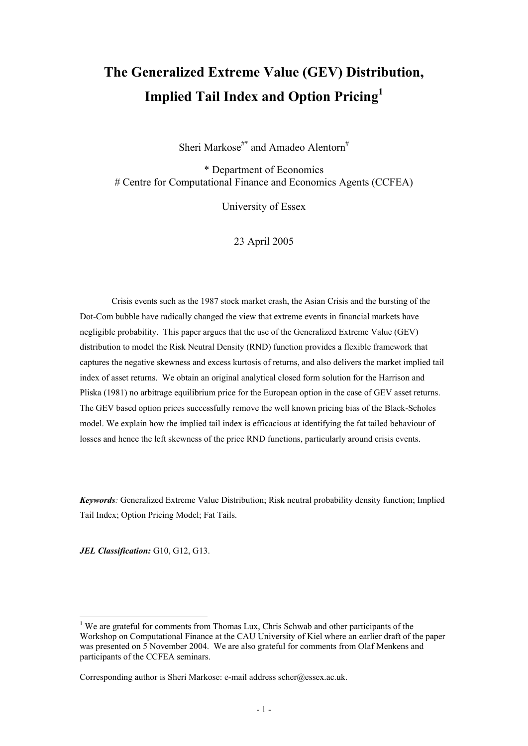# **The Generalized Extreme Value (GEV) Distribution, Implied Tail Index and Option Pricing1**

Sheri Markose<sup>#\*</sup> and Amadeo Alentorn<sup>#</sup>

\* Department of Economics # Centre for Computational Finance and Economics Agents (CCFEA)

University of Essex

23 April 2005

Crisis events such as the 1987 stock market crash, the Asian Crisis and the bursting of the Dot-Com bubble have radically changed the view that extreme events in financial markets have negligible probability. This paper argues that the use of the Generalized Extreme Value (GEV) distribution to model the Risk Neutral Density (RND) function provides a flexible framework that captures the negative skewness and excess kurtosis of returns, and also delivers the market implied tail index of asset returns. We obtain an original analytical closed form solution for the Harrison and Pliska (1981) no arbitrage equilibrium price for the European option in the case of GEV asset returns. The GEV based option prices successfully remove the well known pricing bias of the Black-Scholes model. We explain how the implied tail index is efficacious at identifying the fat tailed behaviour of losses and hence the left skewness of the price RND functions, particularly around crisis events.

*Keywords:* Generalized Extreme Value Distribution; Risk neutral probability density function; Implied Tail Index; Option Pricing Model; Fat Tails.

*JEL Classification:* G10, G12, G13.

-

<sup>&</sup>lt;sup>1</sup> We are grateful for comments from Thomas Lux, Chris Schwab and other participants of the Workshop on Computational Finance at the CAU University of Kiel where an earlier draft of the paper was presented on 5 November 2004. We are also grateful for comments from Olaf Menkens and participants of the CCFEA seminars.

Corresponding author is Sheri Markose: e-mail address scher@essex.ac.uk.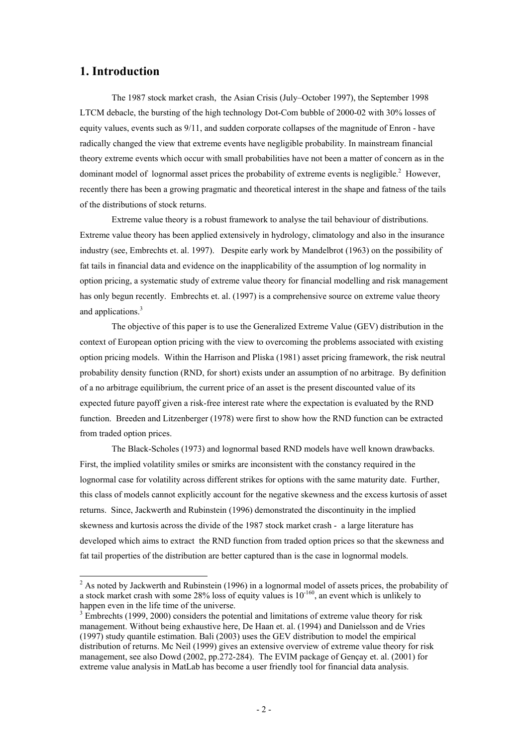# **1. Introduction**

-

The 1987 stock market crash, the Asian Crisis (July–October 1997), the September 1998 LTCM debacle, the bursting of the high technology Dot-Com bubble of 2000-02 with 30% losses of equity values, events such as 9/11, and sudden corporate collapses of the magnitude of Enron - have radically changed the view that extreme events have negligible probability. In mainstream financial theory extreme events which occur with small probabilities have not been a matter of concern as in the dominant model of lognormal asset prices the probability of extreme events is negligible.<sup>2</sup> However, recently there has been a growing pragmatic and theoretical interest in the shape and fatness of the tails of the distributions of stock returns.

Extreme value theory is a robust framework to analyse the tail behaviour of distributions. Extreme value theory has been applied extensively in hydrology, climatology and also in the insurance industry (see, Embrechts et. al. 1997). Despite early work by Mandelbrot (1963) on the possibility of fat tails in financial data and evidence on the inapplicability of the assumption of log normality in option pricing, a systematic study of extreme value theory for financial modelling and risk management has only begun recently. Embrechts et. al. (1997) is a comprehensive source on extreme value theory and applications.<sup>3</sup>

The objective of this paper is to use the Generalized Extreme Value (GEV) distribution in the context of European option pricing with the view to overcoming the problems associated with existing option pricing models. Within the Harrison and Pliska (1981) asset pricing framework, the risk neutral probability density function (RND, for short) exists under an assumption of no arbitrage. By definition of a no arbitrage equilibrium, the current price of an asset is the present discounted value of its expected future payoff given a risk-free interest rate where the expectation is evaluated by the RND function. Breeden and Litzenberger (1978) were first to show how the RND function can be extracted from traded option prices.

The Black-Scholes (1973) and lognormal based RND models have well known drawbacks. First, the implied volatility smiles or smirks are inconsistent with the constancy required in the lognormal case for volatility across different strikes for options with the same maturity date. Further, this class of models cannot explicitly account for the negative skewness and the excess kurtosis of asset returns. Since, Jackwerth and Rubinstein (1996) demonstrated the discontinuity in the implied skewness and kurtosis across the divide of the 1987 stock market crash - a large literature has developed which aims to extract the RND function from traded option prices so that the skewness and fat tail properties of the distribution are better captured than is the case in lognormal models.

 $2$  As noted by Jackwerth and Rubinstein (1996) in a lognormal model of assets prices, the probability of a stock market crash with some 28% loss of equity values is 10-160, an event which is unlikely to happen even in the life time of the universe.

 $3 \text{ Embrechts}$  (1999, 2000) considers the potential and limitations of extreme value theory for risk management. Without being exhaustive here, De Haan et. al. (1994) and Danielsson and de Vries (1997) study quantile estimation. Bali (2003) uses the GEV distribution to model the empirical distribution of returns. Mc Neil (1999) gives an extensive overview of extreme value theory for risk management, see also Dowd (2002, pp.272-284). The EVIM package of Gençay et. al. (2001) for extreme value analysis in MatLab has become a user friendly tool for financial data analysis.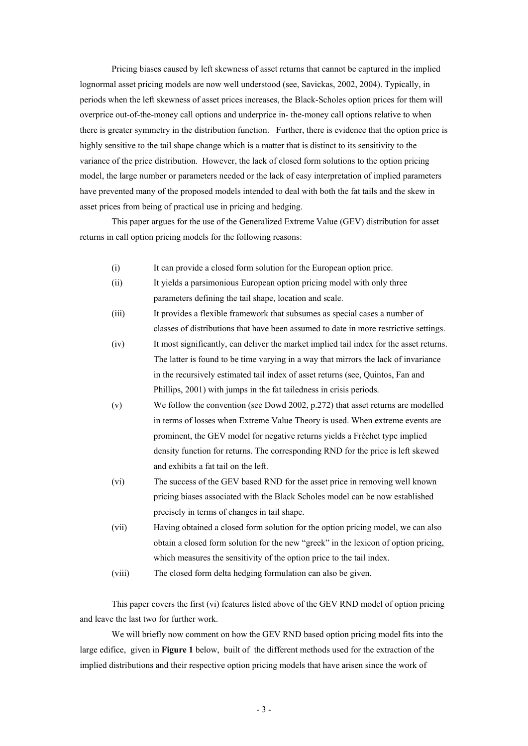Pricing biases caused by left skewness of asset returns that cannot be captured in the implied lognormal asset pricing models are now well understood (see, Savickas, 2002, 2004). Typically, in periods when the left skewness of asset prices increases, the Black-Scholes option prices for them will overprice out-of-the-money call options and underprice in- the-money call options relative to when there is greater symmetry in the distribution function. Further, there is evidence that the option price is highly sensitive to the tail shape change which is a matter that is distinct to its sensitivity to the variance of the price distribution. However, the lack of closed form solutions to the option pricing model, the large number or parameters needed or the lack of easy interpretation of implied parameters have prevented many of the proposed models intended to deal with both the fat tails and the skew in asset prices from being of practical use in pricing and hedging.

This paper argues for the use of the Generalized Extreme Value (GEV) distribution for asset returns in call option pricing models for the following reasons:

- (i) It can provide a closed form solution for the European option price.
- (ii) It yields a parsimonious European option pricing model with only three parameters defining the tail shape, location and scale.
- (iii) It provides a flexible framework that subsumes as special cases a number of classes of distributions that have been assumed to date in more restrictive settings.
- (iv) It most significantly, can deliver the market implied tail index for the asset returns. The latter is found to be time varying in a way that mirrors the lack of invariance in the recursively estimated tail index of asset returns (see, Quintos, Fan and Phillips, 2001) with jumps in the fat tailedness in crisis periods.
- (v) We follow the convention (see Dowd 2002, p.272) that asset returns are modelled in terms of losses when Extreme Value Theory is used. When extreme events are prominent, the GEV model for negative returns yields a Fréchet type implied density function for returns. The corresponding RND for the price is left skewed and exhibits a fat tail on the left.
- (vi) The success of the GEV based RND for the asset price in removing well known pricing biases associated with the Black Scholes model can be now established precisely in terms of changes in tail shape.
- (vii) Having obtained a closed form solution for the option pricing model, we can also obtain a closed form solution for the new "greek" in the lexicon of option pricing, which measures the sensitivity of the option price to the tail index.
- (viii) The closed form delta hedging formulation can also be given.

This paper covers the first (vi) features listed above of the GEV RND model of option pricing and leave the last two for further work.

We will briefly now comment on how the GEV RND based option pricing model fits into the large edifice, given in **Figure 1** below, built of the different methods used for the extraction of the implied distributions and their respective option pricing models that have arisen since the work of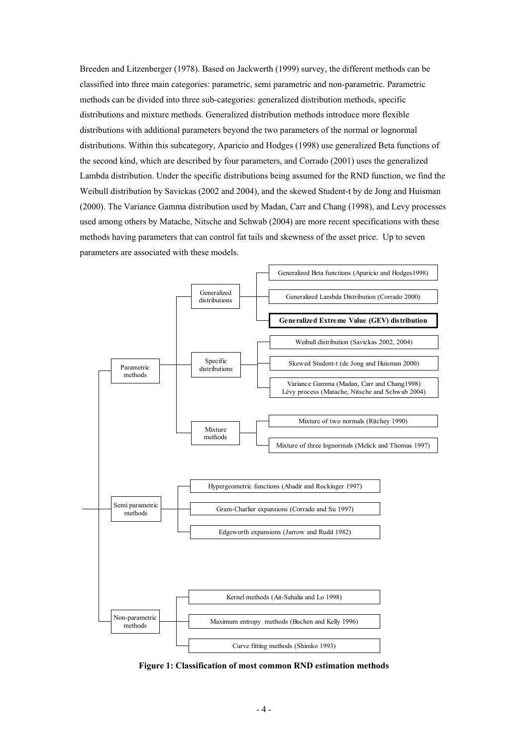Breeden and Litzenberger (1978). Based on Jackwerth (1999) survey, the different methods can be classified into three main categories: parametric, semi parametric and non-parametric. Parametric methods can be divided into three sub-categories: generalized distribution methods, specific distributions and mixture methods. Generalized distribution methods introduce more flexible distributions with additional parameters beyond the two parameters of the normal or lognormal distributions. Within this subcategory, Aparicio and Hodges (1998) use generalized Beta functions of the second kind, which are described by four parameters, and Corrado (2001) uses the generalized Lambda distribution. Under the specific distributions being assumed for the RND function, we find the Weibull distribution by Savickas (2002 and 2004), and the skewed Student-t by de Jong and Huisman (2000). The Variance Gamma distribution used by Madan, Carr and Chang (1998), and Levy processes used among others by Matache, Nitsche and Schwab (2004) are more recent specifications with these methods having parameters that can control fat tails and skewness of the asset price. Up to seven parameters are associated with these models.



**Figure 1: Classification of most common RND estimation methods**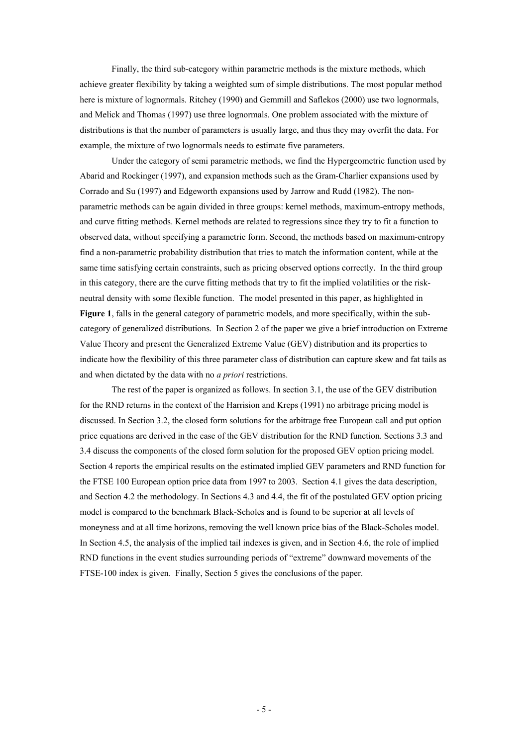Finally, the third sub-category within parametric methods is the mixture methods, which achieve greater flexibility by taking a weighted sum of simple distributions. The most popular method here is mixture of lognormals. Ritchey (1990) and Gemmill and Saflekos (2000) use two lognormals, and Melick and Thomas (1997) use three lognormals. One problem associated with the mixture of distributions is that the number of parameters is usually large, and thus they may overfit the data. For example, the mixture of two lognormals needs to estimate five parameters.

Under the category of semi parametric methods, we find the Hypergeometric function used by Abarid and Rockinger (1997), and expansion methods such as the Gram-Charlier expansions used by Corrado and Su (1997) and Edgeworth expansions used by Jarrow and Rudd (1982). The nonparametric methods can be again divided in three groups: kernel methods, maximum-entropy methods, and curve fitting methods. Kernel methods are related to regressions since they try to fit a function to observed data, without specifying a parametric form. Second, the methods based on maximum-entropy find a non-parametric probability distribution that tries to match the information content, while at the same time satisfying certain constraints, such as pricing observed options correctly. In the third group in this category, there are the curve fitting methods that try to fit the implied volatilities or the riskneutral density with some flexible function. The model presented in this paper, as highlighted in **Figure 1**, falls in the general category of parametric models, and more specifically, within the subcategory of generalized distributions. In Section 2 of the paper we give a brief introduction on Extreme Value Theory and present the Generalized Extreme Value (GEV) distribution and its properties to indicate how the flexibility of this three parameter class of distribution can capture skew and fat tails as and when dictated by the data with no *a priori* restrictions.

The rest of the paper is organized as follows. In section 3.1, the use of the GEV distribution for the RND returns in the context of the Harrision and Kreps (1991) no arbitrage pricing model is discussed. In Section 3.2, the closed form solutions for the arbitrage free European call and put option price equations are derived in the case of the GEV distribution for the RND function. Sections 3.3 and 3.4 discuss the components of the closed form solution for the proposed GEV option pricing model. Section 4 reports the empirical results on the estimated implied GEV parameters and RND function for the FTSE 100 European option price data from 1997 to 2003. Section 4.1 gives the data description, and Section 4.2 the methodology. In Sections 4.3 and 4.4, the fit of the postulated GEV option pricing model is compared to the benchmark Black-Scholes and is found to be superior at all levels of moneyness and at all time horizons, removing the well known price bias of the Black-Scholes model. In Section 4.5, the analysis of the implied tail indexes is given, and in Section 4.6, the role of implied RND functions in the event studies surrounding periods of "extreme" downward movements of the FTSE-100 index is given. Finally, Section 5 gives the conclusions of the paper.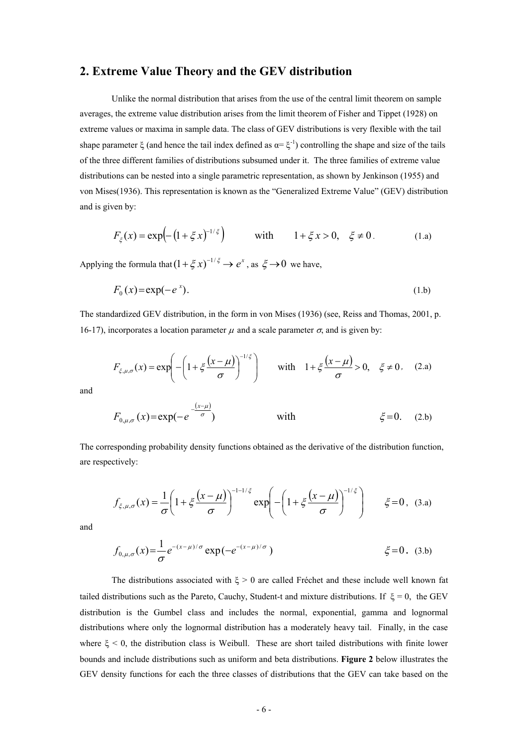# **2. Extreme Value Theory and the GEV distribution**

Unlike the normal distribution that arises from the use of the central limit theorem on sample averages, the extreme value distribution arises from the limit theorem of Fisher and Tippet (1928) on extreme values or maxima in sample data. The class of GEV distributions is very flexible with the tail shape parameter  $\xi$  (and hence the tail index defined as  $\alpha = \xi^{-1}$ ) controlling the shape and size of the tails of the three different families of distributions subsumed under it. The three families of extreme value distributions can be nested into a single parametric representation, as shown by Jenkinson (1955) and von Mises(1936). This representation is known as the "Generalized Extreme Value" (GEV) distribution and is given by:

$$
F_{\xi}(x) = \exp\left(-\left(1 + \xi x\right)^{-1/\xi}\right) \quad \text{with} \quad 1 + \xi x > 0, \quad \xi \neq 0. \tag{1.a}
$$

Applying the formula that  $(1 + \xi x)^{-1/\xi} \rightarrow e^x$ , as  $\xi \rightarrow 0$  we have,

$$
F_0(x) = \exp(-e^x). \tag{1.b}
$$

The standardized GEV distribution, in the form in von Mises (1936) (see, Reiss and Thomas, 2001, p. 16-17), incorporates a location parameter  $\mu$  and a scale parameter  $\sigma$ , and is given by:

$$
F_{\xi,\mu,\sigma}(x) = \exp\left(-\left(1 + \xi \frac{(x-\mu)}{\sigma}\right)^{-1/\xi}\right) \quad \text{with} \quad 1 + \xi \frac{(x-\mu)}{\sigma} > 0, \quad \xi \neq 0. \quad (2.a)
$$

and

$$
F_{0,\mu,\sigma}(x) = \exp(-e^{-\frac{(x-\mu)}{\sigma}})
$$
 with  $\xi = 0$ . (2.b)

The corresponding probability density functions obtained as the derivative of the distribution function, are respectively:

$$
f_{\xi,\mu,\sigma}(x) = \frac{1}{\sigma} \left( 1 + \xi \frac{(x-\mu)}{\sigma} \right)^{-1-1/\xi} \exp\left( -\left( 1 + \xi \frac{(x-\mu)}{\sigma} \right)^{-1/\xi} \right) \qquad \xi = 0, \text{ (3.a)}
$$

and

$$
f_{0,\mu,\sigma}(x) = \frac{1}{\sigma} e^{-(x-\mu)/\sigma} \exp(-e^{-(x-\mu)/\sigma}) \qquad \qquad \xi = 0. \quad (3.b)
$$

The distributions associated with  $\xi > 0$  are called Fréchet and these include well known fat tailed distributions such as the Pareto, Cauchy, Student-t and mixture distributions. If  $\xi = 0$ , the GEV distribution is the Gumbel class and includes the normal, exponential, gamma and lognormal distributions where only the lognormal distribution has a moderately heavy tail. Finally, in the case where  $\xi$  < 0, the distribution class is Weibull. These are short tailed distributions with finite lower bounds and include distributions such as uniform and beta distributions. **Figure 2** below illustrates the GEV density functions for each the three classes of distributions that the GEV can take based on the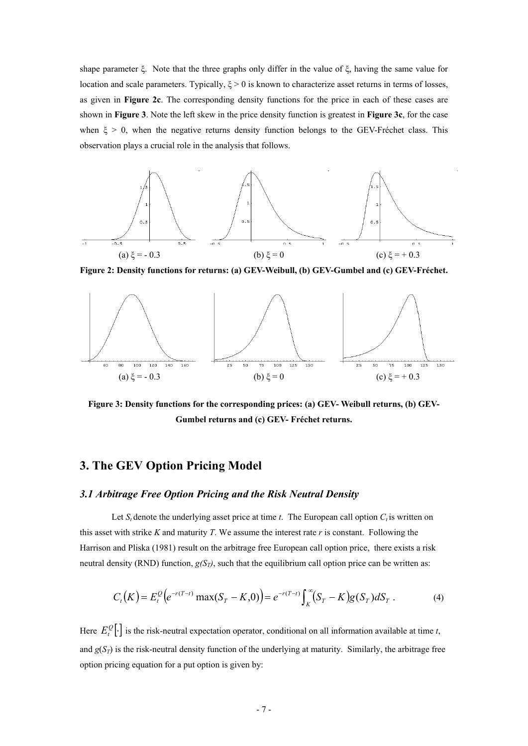shape parameter ξ. Note that the three graphs only differ in the value of ξ, having the same value for location and scale parameters. Typically,  $\xi > 0$  is known to characterize asset returns in terms of losses, as given in **Figure 2c**. The corresponding density functions for the price in each of these cases are shown in **Figure 3**. Note the left skew in the price density function is greatest in **Figure 3c**, for the case when  $\xi > 0$ , when the negative returns density function belongs to the GEV-Fréchet class. This observation plays a crucial role in the analysis that follows.



**Figure 2: Density functions for returns: (a) GEV-Weibull, (b) GEV-Gumbel and (c) GEV-Fréchet.** 



**Figure 3: Density functions for the corresponding prices: (a) GEV- Weibull returns, (b) GEV-Gumbel returns and (c) GEV- Fréchet returns.** 

# **3. The GEV Option Pricing Model**

# *3.1 Arbitrage Free Option Pricing and the Risk Neutral Density*

Let  $S_t$  denote the underlying asset price at time *t*. The European call option  $C_t$  is written on this asset with strike *K* and maturity *T*. We assume the interest rate *r* is constant. Following the Harrison and Pliska (1981) result on the arbitrage free European call option price, there exists a risk neutral density (RND) function,  $g(S_T)$ , such that the equilibrium call option price can be written as:

$$
C_t(K) = E_t^{\mathcal{Q}} \big( e^{-r(T-t)} \max(S_T - K, 0) \big) = e^{-r(T-t)} \int_K^{\infty} (S_T - K) g(S_T) dS_T \; . \tag{4}
$$

Here  $E_t^Q[\cdot]$  is the risk-neutral expectation operator, conditional on all information available at time *t*, and  $g(S_T)$  is the risk-neutral density function of the underlying at maturity. Similarly, the arbitrage free option pricing equation for a put option is given by: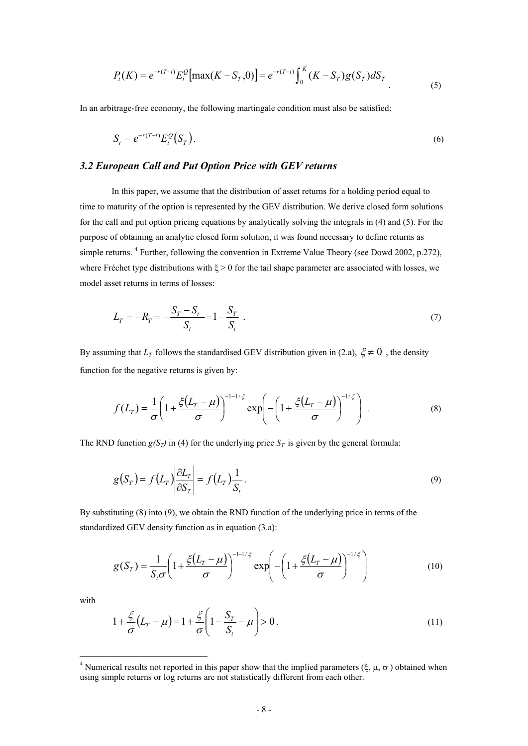$$
P_t(K) = e^{-r(T-t)} E_t^{\mathcal{Q}} \left[ \max(K - S_T, 0) \right] = e^{-r(T-t)} \int_0^K (K - S_T) g(S_T) dS_T
$$
\n(5)

In an arbitrage-free economy, the following martingale condition must also be satisfied:

$$
S_t = e^{-r(T-t)} E_t^{\mathcal{Q}}(S_T). \tag{6}
$$

## *3.2 European Call and Put Option Price with GEV returns*

In this paper, we assume that the distribution of asset returns for a holding period equal to time to maturity of the option is represented by the GEV distribution. We derive closed form solutions for the call and put option pricing equations by analytically solving the integrals in (4) and (5). For the purpose of obtaining an analytic closed form solution, it was found necessary to define returns as simple returns. <sup>4</sup> Further, following the convention in Extreme Value Theory (see Dowd 2002, p.272), where Fréchet type distributions with  $\xi > 0$  for the tail shape parameter are associated with losses, we model asset returns in terms of losses:

$$
L_T = -R_T = -\frac{S_T - S_t}{S_t} = 1 - \frac{S_T}{S_t} \tag{7}
$$

By assuming that  $L_T$  follows the standardised GEV distribution given in (2.a),  $\xi \neq 0$ , the density function for the negative returns is given by:

$$
f(L_T) = \frac{1}{\sigma} \left( 1 + \frac{\xi(L_T - \mu)}{\sigma} \right)^{-1 - 1/\xi} \exp \left( -\left( 1 + \frac{\xi(L_T - \mu)}{\sigma} \right)^{-1/\xi} \right) . \tag{8}
$$

The RND function  $g(S_T)$  in (4) for the underlying price  $S_T$  is given by the general formula:

$$
g(S_T) = f(L_T) \left| \frac{\partial L_T}{\partial S_T} \right| = f(L_T) \frac{1}{S_t} \,. \tag{9}
$$

By substituting (8) into (9), we obtain the RND function of the underlying price in terms of the standardized GEV density function as in equation (3.a):

$$
g(S_T) = \frac{1}{S_t \sigma} \left( 1 + \frac{\xi (L_T - \mu)}{\sigma} \right)^{-1 - 1/\xi} \exp \left( -\left( 1 + \frac{\xi (L_T - \mu)}{\sigma} \right)^{-1/\xi} \right) \tag{10}
$$

with

-

$$
1 + \frac{\xi}{\sigma} \left( L_T - \mu \right) = 1 + \frac{\xi}{\sigma} \left( 1 - \frac{S_T}{S_t} - \mu \right) > 0 \tag{11}
$$

<sup>&</sup>lt;sup>4</sup> Numerical results not reported in this paper show that the implied parameters ( $\xi$ ,  $\mu$ ,  $\sigma$ ) obtained when using simple returns or log returns are not statistically different from each other.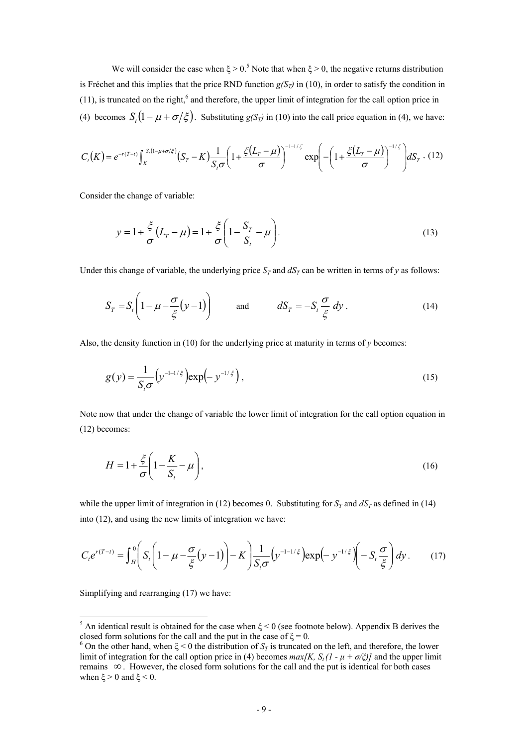We will consider the case when  $\xi > 0$ .<sup>5</sup> Note that when  $\xi > 0$ , the negative returns distribution is Fréchet and this implies that the price RND function  $g(S_T)$  in (10), in order to satisfy the condition in  $(11)$ , is truncated on the right,<sup>6</sup> and therefore, the upper limit of integration for the call option price in (4) becomes  $S_r(1 - \mu + \sigma/\xi)$ . Substituting  $g(S_T)$  in (10) into the call price equation in (4), we have:

$$
C_t(K) = e^{-r(T-t)} \int_K^{S_t(1-\mu+\sigma/\xi)} (S_T-K) \frac{1}{S_t\sigma} \left(1 + \frac{\xi(L_T-\mu)}{\sigma}\right)^{-1-1/\xi} \exp\left(-\left(1 + \frac{\xi(L_T-\mu)}{\sigma}\right)^{-1/\xi}\right) dS_T \tag{12}
$$

Consider the change of variable:

$$
y = 1 + \frac{\xi}{\sigma} (L_T - \mu) = 1 + \frac{\xi}{\sigma} \left( 1 - \frac{S_T}{S_t} - \mu \right).
$$
 (13)

Under this change of variable, the underlying price  $S_T$  and  $dS_T$  can be written in terms of *y* as follows:

$$
S_T = S_t \left( 1 - \mu - \frac{\sigma}{\xi} (y - 1) \right) \quad \text{and} \quad dS_T = -S_t \frac{\sigma}{\xi} dy \,. \tag{14}
$$

Also, the density function in (10) for the underlying price at maturity in terms of *y* becomes:

$$
g(y) = \frac{1}{S_t \sigma} \left( y^{-1/2} \right) \exp\left(-y^{-1/\xi} \right),\tag{15}
$$

Note now that under the change of variable the lower limit of integration for the call option equation in (12) becomes:

$$
H = 1 + \frac{\xi}{\sigma} \left( 1 - \frac{K}{S_t} - \mu \right),\tag{16}
$$

while the upper limit of integration in (12) becomes 0. Substituting for  $S_T$  and  $dS_T$  as defined in (14) into (12), and using the new limits of integration we have:

$$
C_t e^{r(T-t)} = \int_H^0 \left( S_t \left( 1 - \mu - \frac{\sigma}{\xi} (y - 1) \right) - K \right) \frac{1}{S_t \sigma} \left( y^{-1 - 1/\xi} \right) \exp\left( -y^{-1/\xi} \right) \left( - S_t \frac{\sigma}{\xi} \right) dy. \tag{17}
$$

Simplifying and rearranging (17) we have:

-

<sup>&</sup>lt;sup>5</sup> An identical result is obtained for the case when  $\xi$  < 0 (see footnote below). Appendix B derives the closed form solutions for the call and the put in the case of  $\xi = 0$ .<br><sup>6</sup> On the other hand, when  $\xi < 0$  the distribution of  $S_T$  is truncated on the left, and therefore, the lower

limit of integration for the call option price in (4) becomes  $max[K, S_t (1 - \mu + \sigma/\xi)]$  and the upper limit remains ∞ . However, the closed form solutions for the call and the put is identical for both cases when  $\xi > 0$  and  $\xi < 0$ .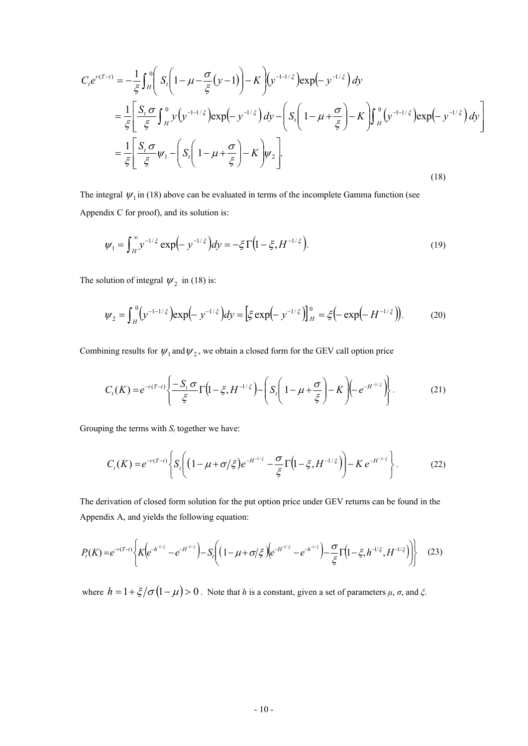$$
C_{i}e^{r(T-t)} = -\frac{1}{\xi}\int_{H}^{0}\left(S_{i}\left(1-\mu-\frac{\sigma}{\xi}(y-1)\right)-K\right)\left(y^{-1-1/\xi}\right)\exp\left(-y^{-1/\xi}\right)dy
$$
  
\n
$$
=\frac{1}{\xi}\left[\frac{S_{i}\sigma}{\xi}\int_{H}^{0}y\left(y^{-1-1/\xi}\right)\exp\left(-y^{-1/\xi}\right)dy-\left(S_{i}\left(1-\mu+\frac{\sigma}{\xi}\right)-K\right)\int_{H}^{0}\left(y^{-1-1/\xi}\right)\exp\left(-y^{-1/\xi}\right)dy\right]
$$
  
\n
$$
=\frac{1}{\xi}\left[\frac{S_{i}\sigma}{\xi}\psi_{1}-\left(S_{i}\left(1-\mu+\frac{\sigma}{\xi}\right)-K\right)\psi_{2}\right].
$$
  
\n(18)

The integral  $\psi_1$  in (18) above can be evaluated in terms of the incomplete Gamma function (see Appendix C for proof), and its solution is:

$$
\psi_1 = \int_H^{\infty} y^{-1/\xi} \exp\left(-y^{-1/\xi}\right) dy = -\xi \Gamma\left(1 - \xi, H^{-1/\xi}\right). \tag{19}
$$

The solution of integral  $\psi_2$  in (18) is:

$$
\psi_2 = \int_H^0 \left( y^{-1-1/\xi} \right) \exp\left( -y^{-1/\xi} \right) dy = \left[ \xi \exp\left( -y^{-1/\xi} \right) \right]_H^0 = \xi \left( -\exp\left( -H^{-1/\xi} \right) \right). \tag{20}
$$

Combining results for  $\psi_1$  and  $\psi_2$ , we obtain a closed form for the GEV call option price

$$
C_t(K) = e^{-r(T-t)} \left\{ \frac{-S_t \sigma}{\xi} \Gamma\left(1 - \xi, H^{-1/\xi}\right) - \left(S_t \left(1 - \mu + \frac{\sigma}{\xi}\right) - K\right) \left(-e^{-H^{-1/\xi}}\right) \right\}.
$$
 (21)

Grouping the terms with  $S_t$  together we have:

$$
C_t(K) = e^{-r(T-t)} \left\{ S_t \left( \left( 1 - \mu + \sigma/\xi \right) e^{-H^{-1/\xi}} - \frac{\sigma}{\xi} \Gamma \left( 1 - \xi, H^{-1/\xi} \right) \right) - K e^{-H^{-1/\xi}} \right\}.
$$
 (22)

The derivation of closed form solution for the put option price under GEV returns can be found in the Appendix A, and yields the following equation:

$$
P_t(K) = e^{-r(T-t)} \left\{ K \left( e^{-h^{-1/\xi}} - e^{-H^{-1/\xi}} \right) - S_t \left( \left( 1 - \mu + \sigma / \xi \right) \left( e^{-H^{-1/\xi}} - e^{-h^{-1/\xi}} \right) - \frac{\sigma}{\xi} \Gamma \left( 1 - \xi, h^{-1/\xi}, H^{-1/\xi} \right) \right) \right\}
$$
(23)

where  $h = 1 + \frac{\xi}{\sigma} \left(1 - \mu\right) > 0$ . Note that *h* is a constant, given a set of parameters  $\mu$ ,  $\sigma$ , and  $\xi$ .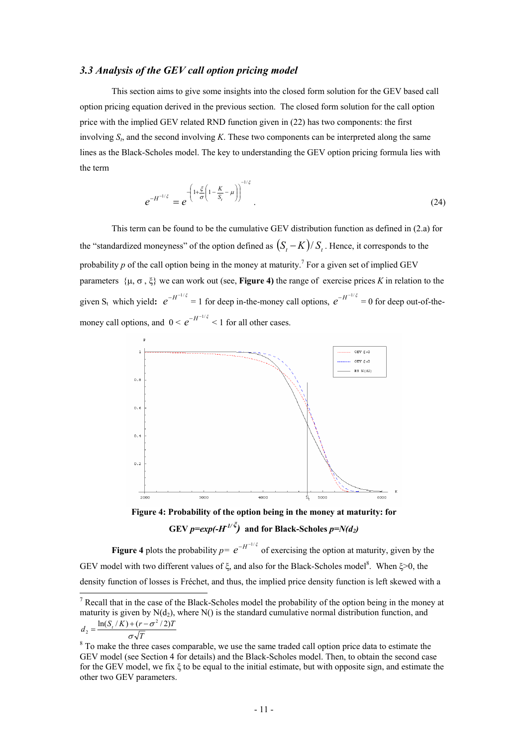# *3.3 Analysis of the GEV call option pricing model*

This section aims to give some insights into the closed form solution for the GEV based call option pricing equation derived in the previous section. The closed form solution for the call option price with the implied GEV related RND function given in (22) has two components: the first involving  $S_t$ , and the second involving *K*. These two components can be interpreted along the same lines as the Black-Scholes model. The key to understanding the GEV option pricing formula lies with the term

$$
e^{-H^{-1/\xi}} = e^{-\left(1 + \frac{\xi}{\sigma} \left(1 - \frac{K}{S_t} - \mu\right)\right)^{-1/\xi}}.
$$
\n(24)

This term can be found to be the cumulative GEV distribution function as defined in (2.a) for the "standardized moneyness" of the option defined as  $(S, -K)/S$ . Hence, it corresponds to the probability  $p$  of the call option being in the money at maturity.<sup>7</sup> For a given set of implied GEV parameters {μ, σ , ξ} we can work out (see, **Figure 4)** the range of exercise prices *K* in relation to the given S<sub>t</sub> which yield:  $e^{-H^{-1/\xi}} = 1$  for deep in-the-money call options,  $e^{-H^{-1/\xi}} = 0$  for deep out-of-themoney call options, and  $0 < e^{-H^{-1/\xi}} < 1$  for all other cases.



**Figure 4: Probability of the option being in the money at maturity: for GEV**  $p=exp(-H^{1/\xi})$  and for Black-Scholes  $p=N(d_2)$ 

**Figure 4** plots the probability  $p = e^{-H^{-1/\xi}}$  of exercising the option at maturity, given by the GEV model with two different values of  $\xi$ , and also for the Black-Scholes model<sup>8</sup>. When  $\xi > 0$ , the density function of losses is Fréchet, and thus, the implied price density function is left skewed with a

 $\frac{1}{7}$  Recall that in the case of the Black-Scholes model the probability of the option being in the money at maturity is given by  $N(d_2)$ , where  $N()$  is the standard cumulative normal distribution function, and  $σ$  $\sqrt{I}$  $d_2 = \frac{\ln(S_t/K) + (r - \sigma^2/2)T}{\sqrt{T}}$ 

<sup>&</sup>lt;sup>8</sup> To make the three cases comparable, we use the same traded call option price data to estimate the GEV model (see Section 4 for details) and the Black-Scholes model. Then, to obtain the second case for the GEV model, we fix ξ to be equal to the initial estimate, but with opposite sign, and estimate the other two GEV parameters.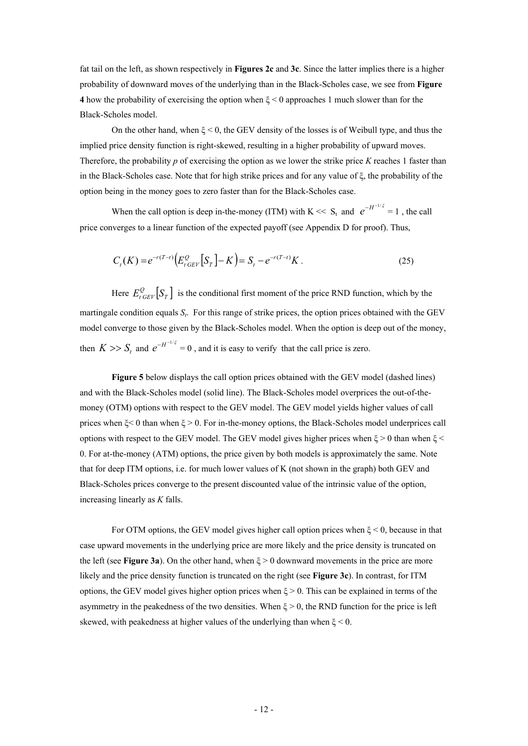fat tail on the left, as shown respectively in **Figures 2c** and **3c**. Since the latter implies there is a higher probability of downward moves of the underlying than in the Black-Scholes case, we see from **Figure 4** how the probability of exercising the option when ξ < 0 approaches 1 much slower than for the Black-Scholes model.

On the other hand, when  $\xi \le 0$ , the GEV density of the losses is of Weibull type, and thus the implied price density function is right-skewed, resulting in a higher probability of upward moves. Therefore, the probability *p* of exercising the option as we lower the strike price *K* reaches 1 faster than in the Black-Scholes case. Note that for high strike prices and for any value of ξ, the probability of the option being in the money goes to zero faster than for the Black-Scholes case.

When the call option is deep in-the-money (ITM) with K << S<sub>t</sub> and  $e^{-H^{-1/\xi}} = 1$ , the call price converges to a linear function of the expected payoff (see Appendix D for proof). Thus,

$$
C_t(K) = e^{-r(T-t)} \Big( E_{t \text{GEV}}^{\mathcal{Q}} \Big[ S_T \Big] - K \Big) = S_t - e^{-r(T-t)} K \,. \tag{25}
$$

Here  $E_{t \text{ GEV}}^{\mathcal{Q}} \left[ S_T \right]$  is the conditional first moment of the price RND function, which by the martingale condition equals  $S_t$ . For this range of strike prices, the option prices obtained with the GEV model converge to those given by the Black-Scholes model. When the option is deep out of the money, then  $K \gg S_t$  and  $e^{-H^{-1/\xi}} = 0$ , and it is easy to verify that the call price is zero.

**Figure 5** below displays the call option prices obtained with the GEV model (dashed lines) and with the Black-Scholes model (solid line). The Black-Scholes model overprices the out-of-themoney (OTM) options with respect to the GEV model. The GEV model yields higher values of call prices when  $\xi$  < 0 than when  $\xi$  > 0. For in-the-money options, the Black-Scholes model underprices call options with respect to the GEV model. The GEV model gives higher prices when  $\xi > 0$  than when  $\xi$ 0. For at-the-money (ATM) options, the price given by both models is approximately the same. Note that for deep ITM options, i.e. for much lower values of K (not shown in the graph) both GEV and Black-Scholes prices converge to the present discounted value of the intrinsic value of the option, increasing linearly as *K* falls.

For OTM options, the GEV model gives higher call option prices when  $\xi$  < 0, because in that case upward movements in the underlying price are more likely and the price density is truncated on the left (see **Figure 3a**). On the other hand, when ξ > 0 downward movements in the price are more likely and the price density function is truncated on the right (see **Figure 3c**). In contrast, for ITM options, the GEV model gives higher option prices when  $\xi > 0$ . This can be explained in terms of the asymmetry in the peakedness of the two densities. When  $\xi > 0$ , the RND function for the price is left skewed, with peakedness at higher values of the underlying than when  $\xi \leq 0$ .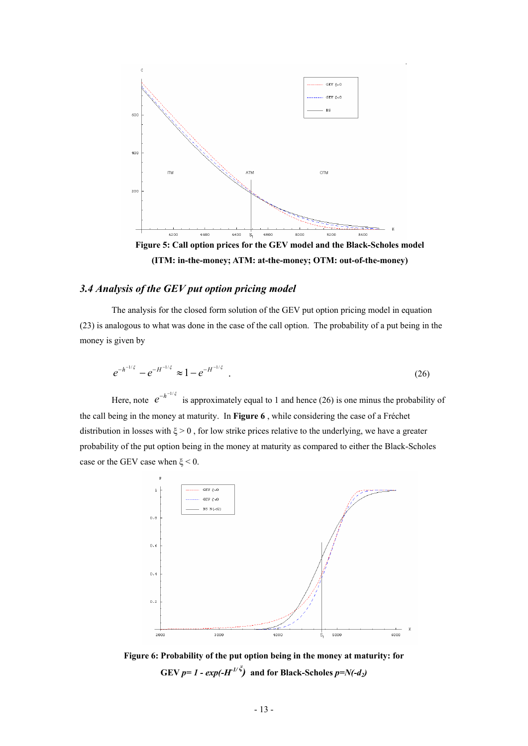

**(ITM: in-the-money; ATM: at-the-money; OTM: out-of-the-money)** 

# *3.4 Analysis of the GEV put option pricing model*

The analysis for the closed form solution of the GEV put option pricing model in equation (23) is analogous to what was done in the case of the call option. The probability of a put being in the money is given by

$$
e^{-h^{-1/\xi}} - e^{-H^{-1/\xi}} \approx 1 - e^{-H^{-1/\xi}} \tag{26}
$$

Here, note  $e^{-h^{-1/\xi}}$  is approximately equal to 1 and hence (26) is one minus the probability of the call being in the money at maturity. In **Figure 6** , while considering the case of a Fréchet distribution in losses with  $\xi > 0$ , for low strike prices relative to the underlying, we have a greater probability of the put option being in the money at maturity as compared to either the Black-Scholes case or the GEV case when  $\xi$  < 0.



**Figure 6: Probability of the put option being in the money at maturity: for GEV** *p*= 1 - exp(- $H^{1/\xi}$ ) and for Black-Scholes  $p=N(-d_2)$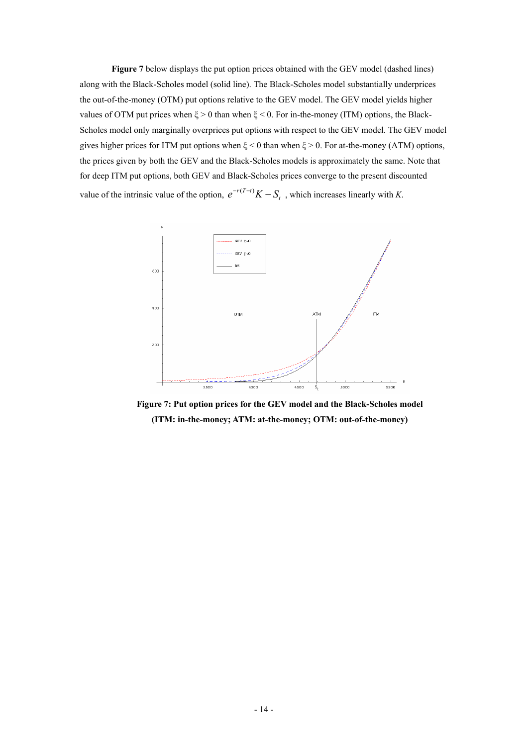**Figure 7** below displays the put option prices obtained with the GEV model (dashed lines) along with the Black-Scholes model (solid line). The Black-Scholes model substantially underprices the out-of-the-money (OTM) put options relative to the GEV model. The GEV model yields higher values of OTM put prices when  $\xi > 0$  than when  $\xi < 0$ . For in-the-money (ITM) options, the Black-Scholes model only marginally overprices put options with respect to the GEV model. The GEV model gives higher prices for ITM put options when  $\xi$  < 0 than when  $\xi$  > 0. For at-the-money (ATM) options, the prices given by both the GEV and the Black-Scholes models is approximately the same. Note that for deep ITM put options, both GEV and Black-Scholes prices converge to the present discounted value of the intrinsic value of the option,  $e^{-r(T-t)}K - S_t$ , which increases linearly with *K*.



**Figure 7: Put option prices for the GEV model and the Black-Scholes model (ITM: in-the-money; ATM: at-the-money; OTM: out-of-the-money)**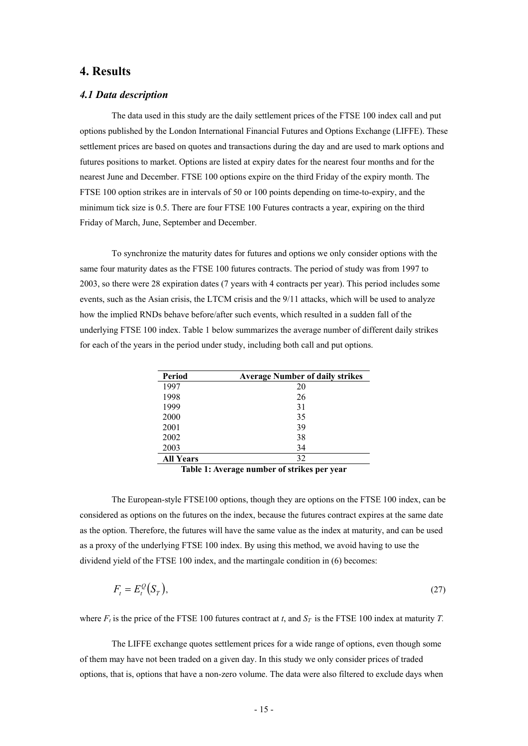# **4. Results**

# *4.1 Data description*

The data used in this study are the daily settlement prices of the FTSE 100 index call and put options published by the London International Financial Futures and Options Exchange (LIFFE). These settlement prices are based on quotes and transactions during the day and are used to mark options and futures positions to market. Options are listed at expiry dates for the nearest four months and for the nearest June and December. FTSE 100 options expire on the third Friday of the expiry month. The FTSE 100 option strikes are in intervals of 50 or 100 points depending on time-to-expiry, and the minimum tick size is 0.5. There are four FTSE 100 Futures contracts a year, expiring on the third Friday of March, June, September and December.

To synchronize the maturity dates for futures and options we only consider options with the same four maturity dates as the FTSE 100 futures contracts. The period of study was from 1997 to 2003, so there were 28 expiration dates (7 years with 4 contracts per year). This period includes some events, such as the Asian crisis, the LTCM crisis and the 9/11 attacks, which will be used to analyze how the implied RNDs behave before/after such events, which resulted in a sudden fall of the underlying FTSE 100 index. Table 1 below summarizes the average number of different daily strikes for each of the years in the period under study, including both call and put options.

| Period           | <b>Average Number of daily strikes</b> |
|------------------|----------------------------------------|
| 1997             | 20                                     |
| 1998             | 26                                     |
| 1999             | 31                                     |
| 2000             | 35                                     |
| 2001             | 39                                     |
| 2002             | 38                                     |
| 2003             | 34                                     |
| <b>All Years</b> | 32                                     |

**Table 1: Average number of strikes per year** 

The European-style FTSE100 options, though they are options on the FTSE 100 index, can be considered as options on the futures on the index, because the futures contract expires at the same date as the option. Therefore, the futures will have the same value as the index at maturity, and can be used as a proxy of the underlying FTSE 100 index. By using this method, we avoid having to use the dividend yield of the FTSE 100 index, and the martingale condition in (6) becomes:

$$
F_t = E_t^{\mathcal{Q}}(S_T),\tag{27}
$$

where  $F_t$  is the price of the FTSE 100 futures contract at *t*, and  $S_T$  is the FTSE 100 index at maturity *T*.

The LIFFE exchange quotes settlement prices for a wide range of options, even though some of them may have not been traded on a given day. In this study we only consider prices of traded options, that is, options that have a non-zero volume. The data were also filtered to exclude days when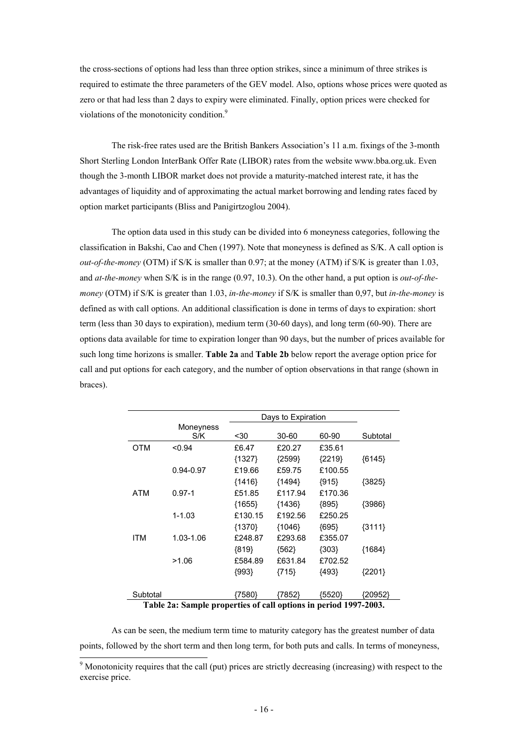the cross-sections of options had less than three option strikes, since a minimum of three strikes is required to estimate the three parameters of the GEV model. Also, options whose prices were quoted as zero or that had less than 2 days to expiry were eliminated. Finally, option prices were checked for violations of the monotonicity condition.<sup>9</sup>

The risk-free rates used are the British Bankers Association's 11 a.m. fixings of the 3-month Short Sterling London InterBank Offer Rate (LIBOR) rates from the website www.bba.org.uk. Even though the 3-month LIBOR market does not provide a maturity-matched interest rate, it has the advantages of liquidity and of approximating the actual market borrowing and lending rates faced by option market participants (Bliss and Panigirtzoglou 2004).

The option data used in this study can be divided into 6 moneyness categories, following the classification in Bakshi, Cao and Chen (1997). Note that moneyness is defined as S/K. A call option is *out-of-the-money* (OTM) if S/K is smaller than 0.97; at the money (ATM) if S/K is greater than 1.03, and *at-the-money* when S/K is in the range (0.97, 10.3). On the other hand, a put option is *out-of-themoney* (OTM) if S/K is greater than 1.03, *in-the-money* if S/K is smaller than 0,97, but *in-the-money* is defined as with call options. An additional classification is done in terms of days to expiration: short term (less than 30 days to expiration), medium term (30-60 days), and long term (60-90). There are options data available for time to expiration longer than 90 days, but the number of prices available for such long time horizons is smaller. **Table 2a** and **Table 2b** below report the average option price for call and put options for each category, and the number of option observations in that range (shown in braces).

|            | Days to Expiration                                              |          |          |          |          |  |
|------------|-----------------------------------------------------------------|----------|----------|----------|----------|--|
|            | Moneyness<br>S/K                                                | <30      | 30-60    | 60-90    | Subtotal |  |
| OTM        | < 0.94                                                          | £6.47    | £20.27   | £35.61   |          |  |
|            |                                                                 | ${1327}$ | ${2599}$ | ${2219}$ | ${6145}$ |  |
|            | 0.94-0.97                                                       | £19.66   | £59.75   | £100.55  |          |  |
|            |                                                                 | ${1416}$ | ${1494}$ | ${915}$  | ${3825}$ |  |
| <b>ATM</b> | $0.97 - 1$                                                      | £51.85   | £117.94  | £170.36  |          |  |
|            |                                                                 | ${1655}$ | ${1436}$ | ${895}$  | ${3986}$ |  |
|            | $1 - 1.03$                                                      | £130.15  | £192.56  | £250.25  |          |  |
|            |                                                                 | {1370}   | {1046}   | ${695}$  | ${3111}$ |  |
| <b>ITM</b> | 1.03-1.06                                                       | £248.87  | £293.68  | £355.07  |          |  |
|            |                                                                 | ${819}$  | ${562}$  | ${303}$  | ${1684}$ |  |
|            | >1.06                                                           | £584.89  | £631.84  | £702.52  |          |  |
|            |                                                                 | ${993}$  | {715}    | {493}    | ${2201}$ |  |
| Subtotal   | Table 2a: Sample properties of call options in period 1997-2003 | {7580}   | {7852}   | (5520)   | {20952}  |  |

**Table 2a: Sample properties of call options in period 1997-2003.** 

As can be seen, the medium term time to maturity category has the greatest number of data points, followed by the short term and then long term, for both puts and calls. In terms of moneyness,

<sup>&</sup>lt;sup>9</sup> Monotonicity requires that the call (put) prices are strictly decreasing (increasing) with respect to the exercise price.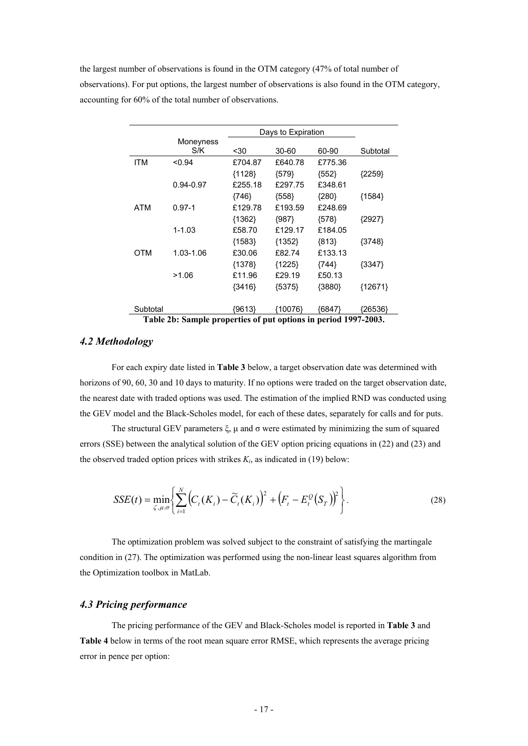the largest number of observations is found in the OTM category (47% of total number of observations). For put options, the largest number of observations is also found in the OTM category, accounting for 60% of the total number of observations.

|            |                                                                |          | Days to Expiration |         |           |  |  |  |
|------------|----------------------------------------------------------------|----------|--------------------|---------|-----------|--|--|--|
|            | Moneyness                                                      |          |                    |         |           |  |  |  |
|            | S/K                                                            | <30      | 30-60              | 60-90   | Subtotal  |  |  |  |
| <b>ITM</b> | < 0.94                                                         | £704.87  | £640.78            | £775.36 |           |  |  |  |
|            |                                                                | ${1128}$ | ${579}$            | ${552}$ | ${2259}$  |  |  |  |
|            | 0.94-0.97                                                      | £255.18  | £297.75            | £348.61 |           |  |  |  |
|            |                                                                | ${746}$  | ${558}$            | ${280}$ | ${1584}$  |  |  |  |
| ATM        | $0.97 - 1$                                                     | £129.78  | £193.59            | £248.69 |           |  |  |  |
|            |                                                                | ${1362}$ | ${987}$            | ${578}$ | ${2927}$  |  |  |  |
|            | $1 - 1.03$                                                     | £58.70   | £129.17            | £184.05 |           |  |  |  |
|            |                                                                | ${1583}$ | ${1352}$           | ${813}$ | ${3748}$  |  |  |  |
| <b>OTM</b> | 1.03-1.06                                                      | £30.06   | £82.74             | £133.13 |           |  |  |  |
|            |                                                                | ${1378}$ | ${1225}$           | ${744}$ | ${3347}$  |  |  |  |
|            | >1.06                                                          | £11.96   | £29.19             | £50.13  |           |  |  |  |
|            |                                                                | ${3416}$ | ${5375}$           | {3880}  | ${12671}$ |  |  |  |
|            |                                                                |          |                    |         |           |  |  |  |
| Subtotal   |                                                                | !9613}   | {10076}            | {6847}  | {26536}   |  |  |  |
|            | Table 2b: Sample proporties of put options in period 1007 2003 |          |                    |         |           |  |  |  |

**Table 2b: Sample properties of put options in period 1997-2003.** 

### *4.2 Methodology*

For each expiry date listed in **Table 3** below, a target observation date was determined with horizons of 90, 60, 30 and 10 days to maturity. If no options were traded on the target observation date, the nearest date with traded options was used. The estimation of the implied RND was conducted using the GEV model and the Black-Scholes model, for each of these dates, separately for calls and for puts.

The structural GEV parameters  $\xi$ ,  $\mu$  and  $\sigma$  were estimated by minimizing the sum of squared errors (SSE) between the analytical solution of the GEV option pricing equations in (22) and (23) and the observed traded option prices with strikes  $K_i$ , as indicated in (19) below:

$$
SSE(t) = \min_{\zeta, \mu, \sigma} \left\{ \sum_{i=1}^{N} \left( C_t(K_i) - \widetilde{C}_t(K_i) \right)^2 + \left( F_t - E_t^{\mathcal{Q}}(S_T) \right)^2 \right\}.
$$
 (28)

The optimization problem was solved subject to the constraint of satisfying the martingale condition in (27). The optimization was performed using the non-linear least squares algorithm from the Optimization toolbox in MatLab.

# *4.3 Pricing performance*

The pricing performance of the GEV and Black-Scholes model is reported in **Table 3** and **Table 4** below in terms of the root mean square error RMSE, which represents the average pricing error in pence per option: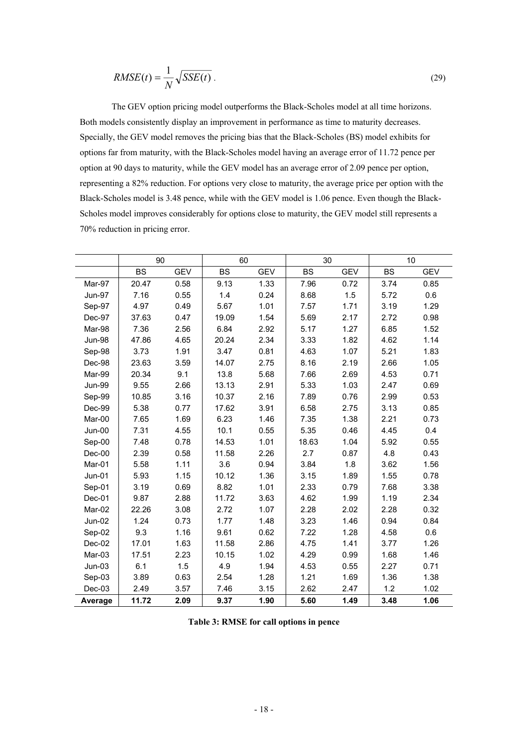$$
RMSE(t) = \frac{1}{N} \sqrt{SSE(t)} \tag{29}
$$

The GEV option pricing model outperforms the Black-Scholes model at all time horizons. Both models consistently display an improvement in performance as time to maturity decreases. Specially, the GEV model removes the pricing bias that the Black-Scholes (BS) model exhibits for options far from maturity, with the Black-Scholes model having an average error of 11.72 pence per option at 90 days to maturity, while the GEV model has an average error of 2.09 pence per option, representing a 82% reduction. For options very close to maturity, the average price per option with the Black-Scholes model is 3.48 pence, while with the GEV model is 1.06 pence. Even though the Black-Scholes model improves considerably for options close to maturity, the GEV model still represents a 70% reduction in pricing error.

|               | 90        |            | 60        |            |           | 30         |           | 10         |  |
|---------------|-----------|------------|-----------|------------|-----------|------------|-----------|------------|--|
|               | <b>BS</b> | <b>GEV</b> | <b>BS</b> | <b>GEV</b> | <b>BS</b> | <b>GEV</b> | <b>BS</b> | <b>GEV</b> |  |
| Mar-97        | 20.47     | 0.58       | 9.13      | 1.33       | 7.96      | 0.72       | 3.74      | 0.85       |  |
| Jun-97        | 7.16      | 0.55       | 1.4       | 0.24       | 8.68      | 1.5        | 5.72      | 0.6        |  |
| Sep-97        | 4.97      | 0.49       | 5.67      | 1.01       | 7.57      | 1.71       | 3.19      | 1.29       |  |
| Dec-97        | 37.63     | 0.47       | 19.09     | 1.54       | 5.69      | 2.17       | 2.72      | 0.98       |  |
| Mar-98        | 7.36      | 2.56       | 6.84      | 2.92       | 5.17      | 1.27       | 6.85      | 1.52       |  |
| <b>Jun-98</b> | 47.86     | 4.65       | 20.24     | 2.34       | 3.33      | 1.82       | 4.62      | 1.14       |  |
| Sep-98        | 3.73      | 1.91       | 3.47      | 0.81       | 4.63      | 1.07       | 5.21      | 1.83       |  |
| Dec-98        | 23.63     | 3.59       | 14.07     | 2.75       | 8.16      | 2.19       | 2.66      | 1.05       |  |
| Mar-99        | 20.34     | 9.1        | 13.8      | 5.68       | 7.66      | 2.69       | 4.53      | 0.71       |  |
| <b>Jun-99</b> | 9.55      | 2.66       | 13.13     | 2.91       | 5.33      | 1.03       | 2.47      | 0.69       |  |
| Sep-99        | 10.85     | 3.16       | 10.37     | 2.16       | 7.89      | 0.76       | 2.99      | 0.53       |  |
| Dec-99        | 5.38      | 0.77       | 17.62     | 3.91       | 6.58      | 2.75       | 3.13      | 0.85       |  |
| Mar-00        | 7.65      | 1.69       | 6.23      | 1.46       | 7.35      | 1.38       | 2.21      | 0.73       |  |
| Jun-00        | 7.31      | 4.55       | 10.1      | 0.55       | 5.35      | 0.46       | 4.45      | 0.4        |  |
| Sep-00        | 7.48      | 0.78       | 14.53     | 1.01       | 18.63     | 1.04       | 5.92      | 0.55       |  |
| $Dec-00$      | 2.39      | 0.58       | 11.58     | 2.26       | 2.7       | 0.87       | 4.8       | 0.43       |  |
| Mar-01        | 5.58      | 1.11       | 3.6       | 0.94       | 3.84      | 1.8        | 3.62      | 1.56       |  |
| $Jun-01$      | 5.93      | 1.15       | 10.12     | 1.36       | 3.15      | 1.89       | 1.55      | 0.78       |  |
| Sep-01        | 3.19      | 0.69       | 8.82      | 1.01       | 2.33      | 0.79       | 7.68      | 3.38       |  |
| Dec-01        | 9.87      | 2.88       | 11.72     | 3.63       | 4.62      | 1.99       | 1.19      | 2.34       |  |
| Mar-02        | 22.26     | 3.08       | 2.72      | 1.07       | 2.28      | 2.02       | 2.28      | 0.32       |  |
| <b>Jun-02</b> | 1.24      | 0.73       | 1.77      | 1.48       | 3.23      | 1.46       | 0.94      | 0.84       |  |
| Sep-02        | 9.3       | 1.16       | 9.61      | 0.62       | 7.22      | 1.28       | 4.58      | 0.6        |  |
| Dec-02        | 17.01     | 1.63       | 11.58     | 2.86       | 4.75      | 1.41       | 3.77      | 1.26       |  |
| Mar-03        | 17.51     | 2.23       | 10.15     | 1.02       | 4.29      | 0.99       | 1.68      | 1.46       |  |
| $Jun-03$      | 6.1       | 1.5        | 4.9       | 1.94       | 4.53      | 0.55       | 2.27      | 0.71       |  |
| Sep-03        | 3.89      | 0.63       | 2.54      | 1.28       | 1.21      | 1.69       | 1.36      | 1.38       |  |
| Dec-03        | 2.49      | 3.57       | 7.46      | 3.15       | 2.62      | 2.47       | 1.2       | 1.02       |  |
| Average       | 11.72     | 2.09       | 9.37      | 1.90       | 5.60      | 1.49       | 3.48      | 1.06       |  |

**Table 3: RMSE for call options in pence**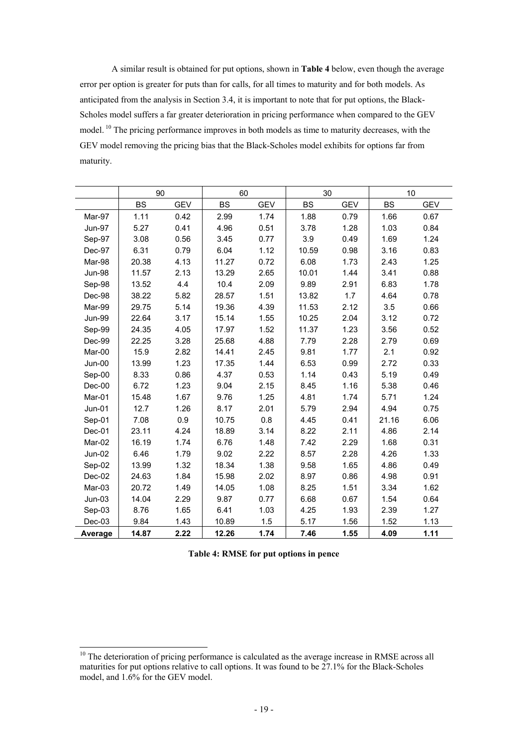A similar result is obtained for put options, shown in **Table 4** below, even though the average error per option is greater for puts than for calls, for all times to maturity and for both models. As anticipated from the analysis in Section 3.4, it is important to note that for put options, the Black-Scholes model suffers a far greater deterioration in pricing performance when compared to the GEV model. <sup>10</sup> The pricing performance improves in both models as time to maturity decreases, with the GEV model removing the pricing bias that the Black-Scholes model exhibits for options far from maturity.

|               | 90        |            | 60        |            | 30        |            | 10        |            |
|---------------|-----------|------------|-----------|------------|-----------|------------|-----------|------------|
|               | <b>BS</b> | <b>GEV</b> | <b>BS</b> | <b>GEV</b> | <b>BS</b> | <b>GEV</b> | <b>BS</b> | <b>GEV</b> |
| Mar-97        | 1.11      | 0.42       | 2.99      | 1.74       | 1.88      | 0.79       | 1.66      | 0.67       |
| <b>Jun-97</b> | 5.27      | 0.41       | 4.96      | 0.51       | 3.78      | 1.28       | 1.03      | 0.84       |
| Sep-97        | 3.08      | 0.56       | 3.45      | 0.77       | 3.9       | 0.49       | 1.69      | 1.24       |
| Dec-97        | 6.31      | 0.79       | 6.04      | 1.12       | 10.59     | 0.98       | 3.16      | 0.83       |
| Mar-98        | 20.38     | 4.13       | 11.27     | 0.72       | 6.08      | 1.73       | 2.43      | 1.25       |
| <b>Jun-98</b> | 11.57     | 2.13       | 13.29     | 2.65       | 10.01     | 1.44       | 3.41      | 0.88       |
| Sep-98        | 13.52     | 4.4        | 10.4      | 2.09       | 9.89      | 2.91       | 6.83      | 1.78       |
| Dec-98        | 38.22     | 5.82       | 28.57     | 1.51       | 13.82     | 1.7        | 4.64      | 0.78       |
| Mar-99        | 29.75     | 5.14       | 19.36     | 4.39       | 11.53     | 2.12       | 3.5       | 0.66       |
| <b>Jun-99</b> | 22.64     | 3.17       | 15.14     | 1.55       | 10.25     | 2.04       | 3.12      | 0.72       |
| Sep-99        | 24.35     | 4.05       | 17.97     | 1.52       | 11.37     | 1.23       | 3.56      | 0.52       |
| Dec-99        | 22.25     | 3.28       | 25.68     | 4.88       | 7.79      | 2.28       | 2.79      | 0.69       |
| Mar-00        | 15.9      | 2.82       | 14.41     | 2.45       | 9.81      | 1.77       | 2.1       | 0.92       |
| Jun-00        | 13.99     | 1.23       | 17.35     | 1.44       | 6.53      | 0.99       | 2.72      | 0.33       |
| Sep-00        | 8.33      | 0.86       | 4.37      | 0.53       | 1.14      | 0.43       | 5.19      | 0.49       |
| $Dec-00$      | 6.72      | 1.23       | 9.04      | 2.15       | 8.45      | 1.16       | 5.38      | 0.46       |
| Mar-01        | 15.48     | 1.67       | 9.76      | 1.25       | 4.81      | 1.74       | 5.71      | 1.24       |
| Jun-01        | 12.7      | 1.26       | 8.17      | 2.01       | 5.79      | 2.94       | 4.94      | 0.75       |
| Sep-01        | 7.08      | 0.9        | 10.75     | 0.8        | 4.45      | 0.41       | 21.16     | 6.06       |
| Dec-01        | 23.11     | 4.24       | 18.89     | 3.14       | 8.22      | 2.11       | 4.86      | 2.14       |
| Mar-02        | 16.19     | 1.74       | 6.76      | 1.48       | 7.42      | 2.29       | 1.68      | 0.31       |
| $Jun-02$      | 6.46      | 1.79       | 9.02      | 2.22       | 8.57      | 2.28       | 4.26      | 1.33       |
| Sep-02        | 13.99     | 1.32       | 18.34     | 1.38       | 9.58      | 1.65       | 4.86      | 0.49       |
| Dec-02        | 24.63     | 1.84       | 15.98     | 2.02       | 8.97      | 0.86       | 4.98      | 0.91       |
| Mar-03        | 20.72     | 1.49       | 14.05     | 1.08       | 8.25      | 1.51       | 3.34      | 1.62       |
| $Jun-03$      | 14.04     | 2.29       | 9.87      | 0.77       | 6.68      | 0.67       | 1.54      | 0.64       |
| Sep-03        | 8.76      | 1.65       | 6.41      | 1.03       | 4.25      | 1.93       | 2.39      | 1.27       |
| Dec-03        | 9.84      | 1.43       | 10.89     | 1.5        | 5.17      | 1.56       | 1.52      | 1.13       |
| Average       | 14.87     | 2.22       | 12.26     | 1.74       | 7.46      | 1.55       | 4.09      | 1.11       |

**Table 4: RMSE for put options in pence** 

-

 $10$  The deterioration of pricing performance is calculated as the average increase in RMSE across all maturities for put options relative to call options. It was found to be  $27.1\%$  for the Black-Scholes model, and 1.6% for the GEV model.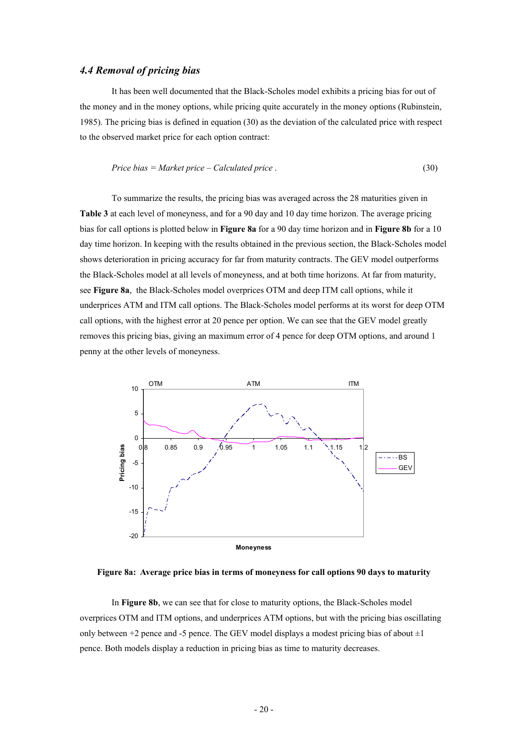# *4.4 Removal of pricing bias*

It has been well documented that the Black-Scholes model exhibits a pricing bias for out of the money and in the money options, while pricing quite accurately in the money options (Rubinstein, 1985). The pricing bias is defined in equation (30) as the deviation of the calculated price with respect to the observed market price for each option contract:

$$
Price bias = Market price - Calculated price . \tag{30}
$$

To summarize the results, the pricing bias was averaged across the 28 maturities given in **Table 3** at each level of moneyness, and for a 90 day and 10 day time horizon. The average pricing bias for call options is plotted below in **Figure 8a** for a 90 day time horizon and in **Figure 8b** for a 10 day time horizon. In keeping with the results obtained in the previous section, the Black-Scholes model shows deterioration in pricing accuracy for far from maturity contracts. The GEV model outperforms the Black-Scholes model at all levels of moneyness, and at both time horizons. At far from maturity, see **Figure 8a**, the Black-Scholes model overprices OTM and deep ITM call options, while it underprices ATM and ITM call options. The Black-Scholes model performs at its worst for deep OTM call options, with the highest error at 20 pence per option. We can see that the GEV model greatly removes this pricing bias, giving an maximum error of 4 pence for deep OTM options, and around 1 penny at the other levels of moneyness.



**Figure 8a: Average price bias in terms of moneyness for call options 90 days to maturity** 

In **Figure 8b**, we can see that for close to maturity options, the Black-Scholes model overprices OTM and ITM options, and underprices ATM options, but with the pricing bias oscillating only between  $+2$  pence and -5 pence. The GEV model displays a modest pricing bias of about  $\pm 1$ pence. Both models display a reduction in pricing bias as time to maturity decreases.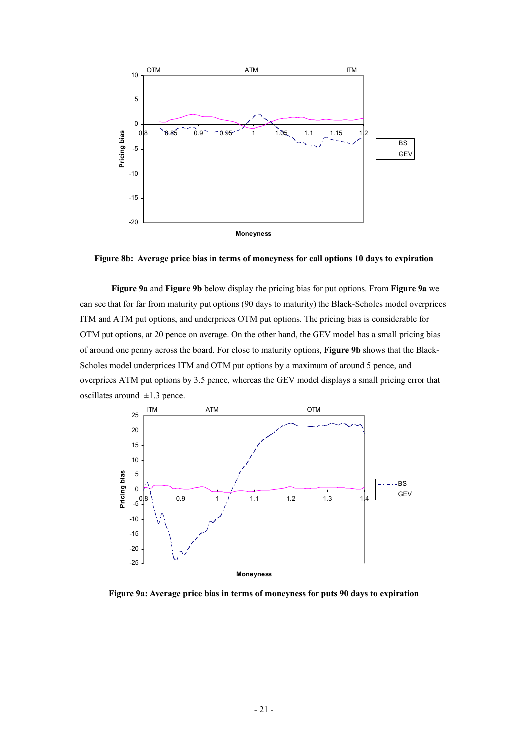

**Figure 8b: Average price bias in terms of moneyness for call options 10 days to expiration** 

**Figure 9a** and **Figure 9b** below display the pricing bias for put options. From **Figure 9a** we can see that for far from maturity put options (90 days to maturity) the Black-Scholes model overprices ITM and ATM put options, and underprices OTM put options. The pricing bias is considerable for OTM put options, at 20 pence on average. On the other hand, the GEV model has a small pricing bias of around one penny across the board. For close to maturity options, **Figure 9b** shows that the Black-Scholes model underprices ITM and OTM put options by a maximum of around 5 pence, and overprices ATM put options by 3.5 pence, whereas the GEV model displays a small pricing error that oscillates around  $\pm 1.3$  pence.



**Figure 9a: Average price bias in terms of moneyness for puts 90 days to expiration**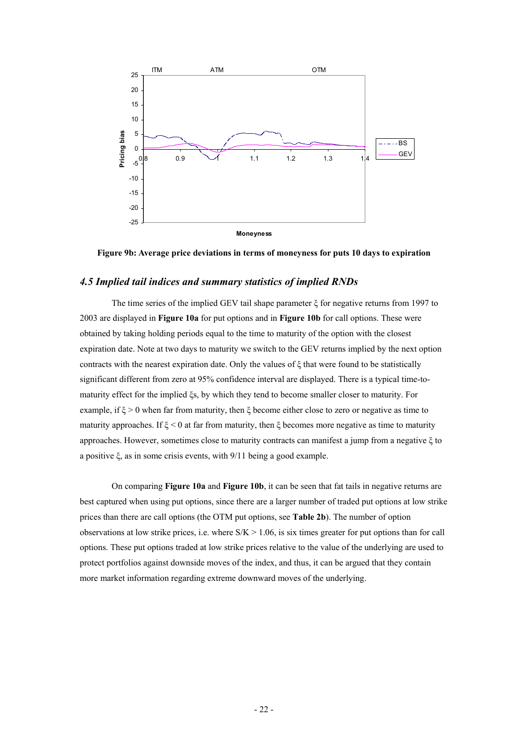

**Figure 9b: Average price deviations in terms of moneyness for puts 10 days to expiration** 

## *4.5 Implied tail indices and summary statistics of implied RNDs*

The time series of the implied GEV tail shape parameter ξ for negative returns from 1997 to 2003 are displayed in **Figure 10a** for put options and in **Figure 10b** for call options. These were obtained by taking holding periods equal to the time to maturity of the option with the closest expiration date. Note at two days to maturity we switch to the GEV returns implied by the next option contracts with the nearest expiration date. Only the values of ξ that were found to be statistically significant different from zero at 95% confidence interval are displayed. There is a typical time-tomaturity effect for the implied ξs, by which they tend to become smaller closer to maturity. For example, if  $\xi > 0$  when far from maturity, then  $\xi$  become either close to zero or negative as time to maturity approaches. If  $\xi$  < 0 at far from maturity, then  $\xi$  becomes more negative as time to maturity approaches. However, sometimes close to maturity contracts can manifest a jump from a negative ξ to a positive ξ, as in some crisis events, with 9/11 being a good example.

On comparing **Figure 10a** and **Figure 10b**, it can be seen that fat tails in negative returns are best captured when using put options, since there are a larger number of traded put options at low strike prices than there are call options (the OTM put options, see **Table 2b**). The number of option observations at low strike prices, i.e. where  $S/K > 1.06$ , is six times greater for put options than for call options. These put options traded at low strike prices relative to the value of the underlying are used to protect portfolios against downside moves of the index, and thus, it can be argued that they contain more market information regarding extreme downward moves of the underlying.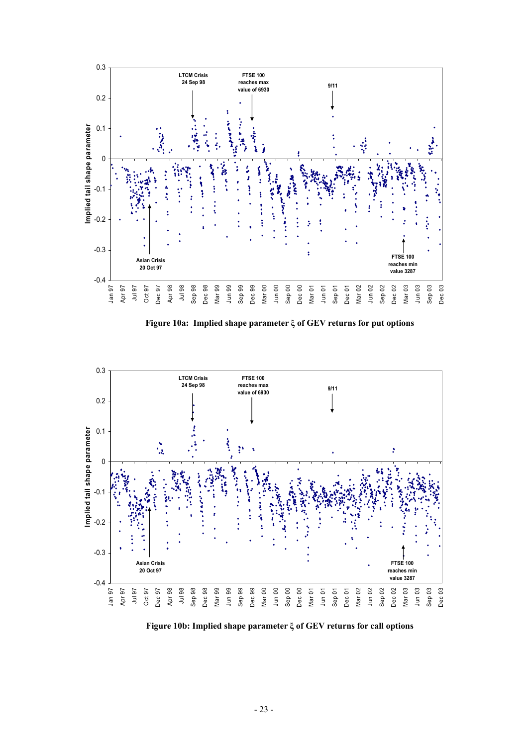

**Figure 10a: Implied shape parameter ξ of GEV returns for put options** 



**Figure 10b: Implied shape parameter ξ of GEV returns for call options**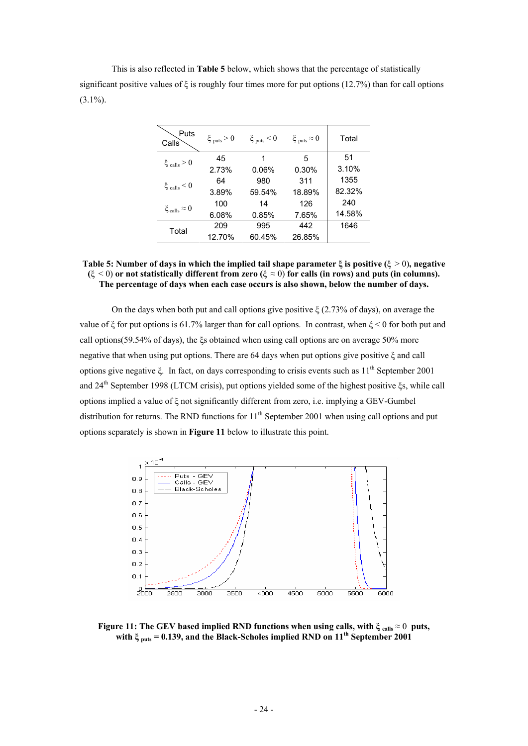This is also reflected in **Table 5** below, which shows that the percentage of statistically significant positive values of ξ is roughly four times more for put options (12.7%) than for call options  $(3.1\%)$ .

| Puts<br>Calls                  | $\xi_{\text{puts}} > 0$ | $\xi_{\text{puts}}$ < 0 | $\xi_{\text{puts}} \approx 0$ | Total  |
|--------------------------------|-------------------------|-------------------------|-------------------------------|--------|
|                                | 45                      | 1                       | 5                             | 51     |
| $\xi_{\text{ calls}} > 0$      | 2.73%                   | 0.06%                   | 0.30%                         | 3.10%  |
| $\xi_{\text{ calls}} < 0$      | 64                      | 980                     | 311                           | 1355   |
|                                | 3.89%                   | 59.54%                  | 18.89%                        | 82.32% |
| $\xi_{\text{calls}} \approx 0$ | 100                     | 14                      | 126                           | 240    |
|                                | 6.08%                   | 0.85%                   | 7.65%                         | 14.58% |
| Total                          | 209                     | 995                     | 442                           | 1646   |
|                                | 12.70%                  | 60.45%                  | 26.85%                        |        |

#### **Table 5: Number of days in which the implied tail shape parameter ξ is positive (**ξ > 0)**, negative (**ξ < 0) **or not statistically different from zero (**ξ ≈ 0) **for calls (in rows) and puts (in columns). The percentage of days when each case occurs is also shown, below the number of days.**

On the days when both put and call options give positive  $\zeta$  (2.73% of days), on average the value of  $\xi$  for put options is 61.7% larger than for call options. In contrast, when  $\xi$  < 0 for both put and call options(59.54% of days), the ξs obtained when using call options are on average 50% more negative that when using put options. There are 64 days when put options give positive ξ and call options give negative  $\xi$ . In fact, on days corresponding to crisis events such as  $11<sup>th</sup>$  September 2001 and 24th September 1998 (LTCM crisis), put options yielded some of the highest positive ξs, while call options implied a value of ξ not significantly different from zero, i.e. implying a GEV-Gumbel distribution for returns. The RND functions for  $11<sup>th</sup>$  September 2001 when using call options and put options separately is shown in **Figure 11** below to illustrate this point.



**Figure 11: The GEV based implied RND functions when using calls, with**  $\xi_{\text{calis}} \approx 0$  **puts,** with  $\xi_{\text{nuts}} = 0.139$ , and the Black-Scholes implied RND on  $11^{\text{th}}$  September 2001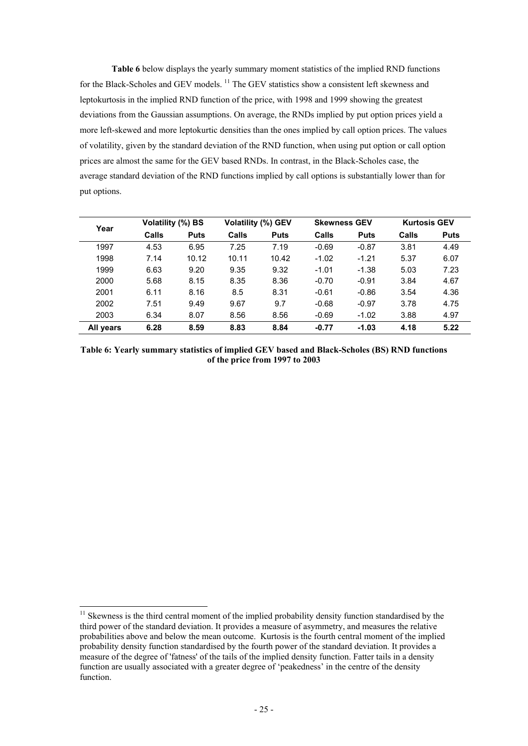**Table 6** below displays the yearly summary moment statistics of the implied RND functions for the Black-Scholes and GEV models. <sup>11</sup> The GEV statistics show a consistent left skewness and leptokurtosis in the implied RND function of the price, with 1998 and 1999 showing the greatest deviations from the Gaussian assumptions. On average, the RNDs implied by put option prices yield a more left-skewed and more leptokurtic densities than the ones implied by call option prices. The values of volatility, given by the standard deviation of the RND function, when using put option or call option prices are almost the same for the GEV based RNDs. In contrast, in the Black-Scholes case, the average standard deviation of the RND functions implied by call options is substantially lower than for put options.

| Year      |       | Volatility (%) BS |       | <b>Volatility (%) GEV</b> |         | <b>Skewness GEV</b> |       | <b>Kurtosis GEV</b> |  |
|-----------|-------|-------------------|-------|---------------------------|---------|---------------------|-------|---------------------|--|
|           | Calls | <b>Puts</b>       | Calls | <b>Puts</b>               | Calls   | <b>Puts</b>         | Calls | <b>Puts</b>         |  |
| 1997      | 4.53  | 6.95              | 7.25  | 7.19                      | $-0.69$ | $-0.87$             | 3.81  | 4.49                |  |
| 1998      | 7.14  | 10.12             | 10.11 | 10.42                     | $-1.02$ | $-1.21$             | 5.37  | 6.07                |  |
| 1999      | 6.63  | 9.20              | 9.35  | 9.32                      | $-1.01$ | $-1.38$             | 5.03  | 7.23                |  |
| 2000      | 5.68  | 8.15              | 8.35  | 8.36                      | $-0.70$ | $-0.91$             | 3.84  | 4.67                |  |
| 2001      | 6.11  | 8.16              | 8.5   | 8.31                      | $-0.61$ | $-0.86$             | 3.54  | 4.36                |  |
| 2002      | 7.51  | 9.49              | 9.67  | 9.7                       | $-0.68$ | $-0.97$             | 3.78  | 4.75                |  |
| 2003      | 6.34  | 8.07              | 8.56  | 8.56                      | $-0.69$ | $-1.02$             | 3.88  | 4.97                |  |
| All years | 6.28  | 8.59              | 8.83  | 8.84                      | $-0.77$ | $-1.03$             | 4.18  | 5.22                |  |

**Table 6: Yearly summary statistics of implied GEV based and Black-Scholes (BS) RND functions of the price from 1997 to 2003** 

1

 $11$  Skewness is the third central moment of the implied probability density function standardised by the third power of the standard deviation. It provides a measure of asymmetry, and measures the relative probabilities above and below the mean outcome. Kurtosis is the fourth central moment of the implied probability density function standardised by the fourth power of the standard deviation. It provides a measure of the degree of 'fatness' of the tails of the implied density function. Fatter tails in a density function are usually associated with a greater degree of 'peakedness' in the centre of the density function.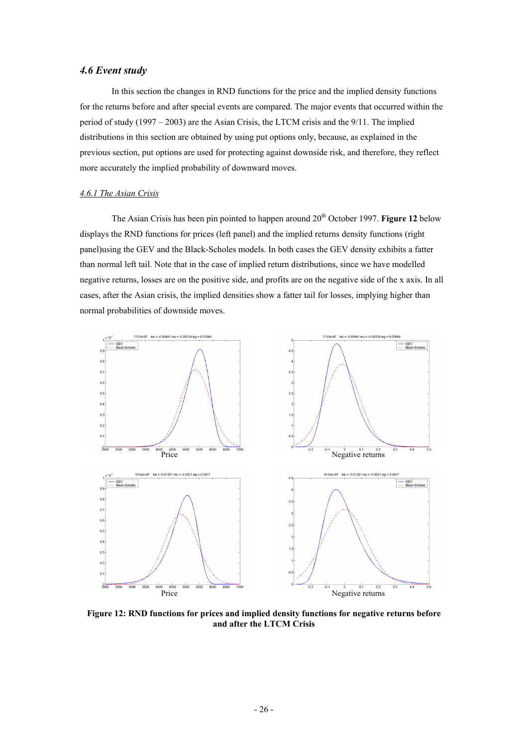# *4.6 Event study*

In this section the changes in RND functions for the price and the implied density functions for the returns before and after special events are compared. The major events that occurred within the period of study  $(1997 - 2003)$  are the Asian Crisis, the LTCM crisis and the 9/11. The implied distributions in this section are obtained by using put options only, because, as explained in the previous section, put options are used for protecting against downside risk, and therefore, they reflect more accurately the implied probability of downward moves.

#### *4.6.1 The Asian Crisis*

The Asian Crisis has been pin pointed to happen around 20<sup>th</sup> October 1997. **Figure 12** below displays the RND functions for prices (left panel) and the implied returns density functions (right panel)using the GEV and the Black-Scholes models. In both cases the GEV density exhibits a fatter than normal left tail. Note that in the case of implied return distributions, since we have modelled negative returns, losses are on the positive side, and profits are on the negative side of the x axis. In all cases, after the Asian crisis, the implied densities show a fatter tail for losses, implying higher than normal probabilities of downside moves.



**Figure 12: RND functions for prices and implied density functions for negative returns before and after the LTCM Crisis**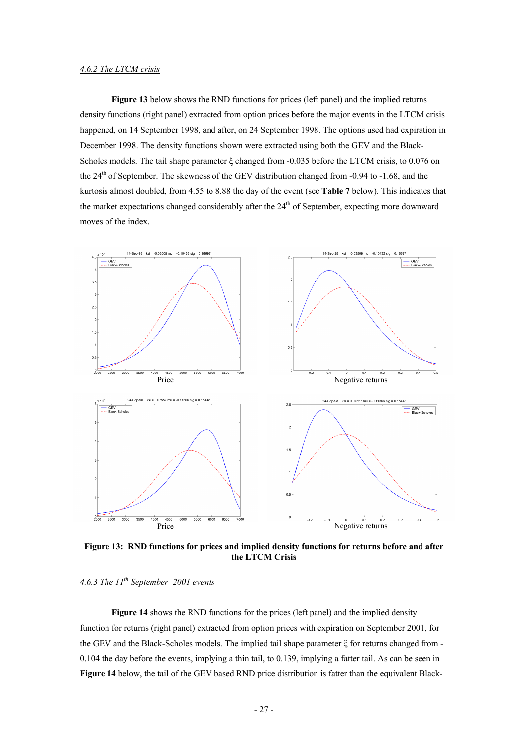#### *4.6.2 The LTCM crisis*

**Figure 13** below shows the RND functions for prices (left panel) and the implied returns density functions (right panel) extracted from option prices before the major events in the LTCM crisis happened, on 14 September 1998, and after, on 24 September 1998. The options used had expiration in December 1998. The density functions shown were extracted using both the GEV and the Black-Scholes models. The tail shape parameter ξ changed from -0.035 before the LTCM crisis, to 0.076 on the 24<sup>th</sup> of September. The skewness of the GEV distribution changed from -0.94 to -1.68, and the kurtosis almost doubled, from 4.55 to 8.88 the day of the event (see **Table 7** below). This indicates that the market expectations changed considerably after the  $24<sup>th</sup>$  of September, expecting more downward moves of the index.



**Figure 13: RND functions for prices and implied density functions for returns before and after the LTCM Crisis** 

# *4.6.3 The 11th September 2001 events*

Figure 14 shows the RND functions for the prices (left panel) and the implied density function for returns (right panel) extracted from option prices with expiration on September 2001, for the GEV and the Black-Scholes models. The implied tail shape parameter ξ for returns changed from - 0.104 the day before the events, implying a thin tail, to 0.139, implying a fatter tail. As can be seen in **Figure 14** below, the tail of the GEV based RND price distribution is fatter than the equivalent Black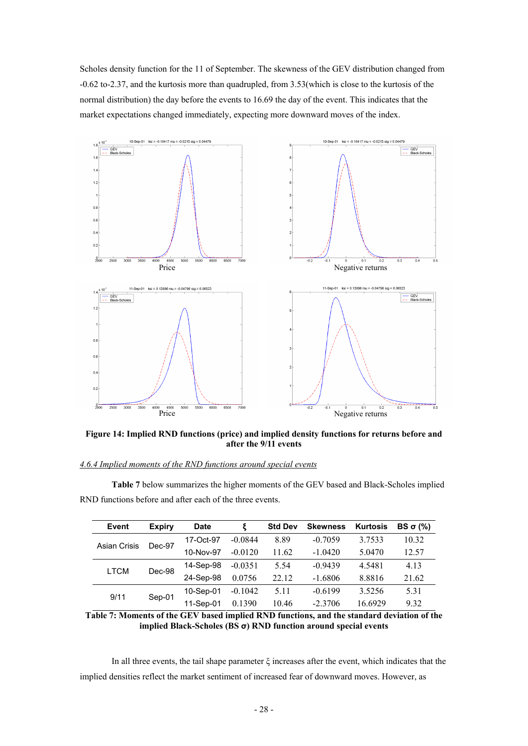Scholes density function for the 11 of September. The skewness of the GEV distribution changed from -0.62 to-2.37, and the kurtosis more than quadrupled, from 3.53(which is close to the kurtosis of the normal distribution) the day before the events to 16.69 the day of the event. This indicates that the market expectations changed immediately, expecting more downward moves of the index.



**Figure 14: Implied RND functions (price) and implied density functions for returns before and after the 9/11 events** 

## *4.6.4 Implied moments of the RND functions around special events*

| <b>Event</b>                  | <b>Expiry</b> | Date      |           | <b>Std Dev</b> | <b>Skewness</b> | <b>Kurtosis</b> | BS $σ(%)$ |
|-------------------------------|---------------|-----------|-----------|----------------|-----------------|-----------------|-----------|
| <b>Asian Crisis</b><br>Dec-97 |               | 17-Oct-97 | $-0.0844$ | 8.89           | $-0.7059$       | 3.7533          | 10.32     |
|                               | 10-Nov-97     | $-0.0120$ | 11.62     | $-1.0420$      | 5.0470          | 12.57           |           |
| <b>LTCM</b>                   | Dec-98        | 14-Sep-98 | $-0.0351$ | 5.54           | $-0.9439$       | 4.5481          | 4.13      |
|                               |               | 24-Sep-98 | 0.0756    | 22.12          | $-1.6806$       | 8.8816          | 21.62     |
| 9/11                          | Sep-01        | 10-Sep-01 | $-0.1042$ | 5.11           | $-0.6199$       | 3.5256          | 5.31      |
|                               |               | 11-Sep-01 | 0.1390    | 10.46          | $-2,3706$       | 16 6929         | 9.32      |

**Table 7** below summarizes the higher moments of the GEV based and Black-Scholes implied RND functions before and after each of the three events.

**Table 7: Moments of the GEV based implied RND functions, and the standard deviation of the implied Black-Scholes (BS σ) RND function around special events** 

In all three events, the tail shape parameter ξ increases after the event, which indicates that the implied densities reflect the market sentiment of increased fear of downward moves. However, as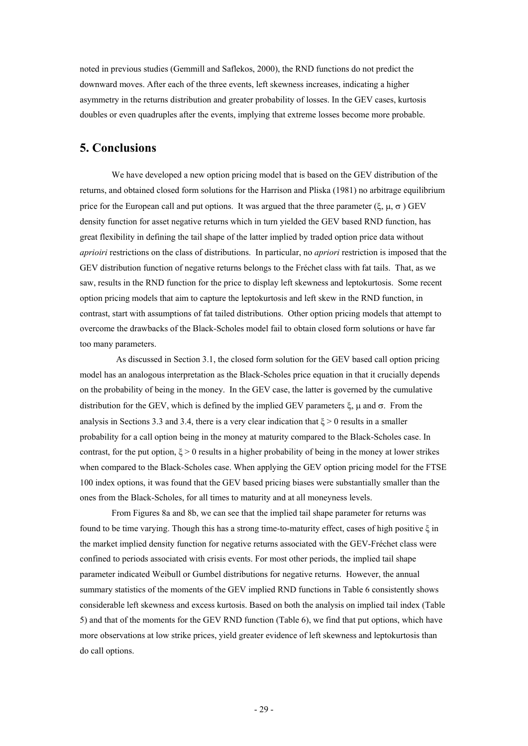noted in previous studies (Gemmill and Saflekos, 2000), the RND functions do not predict the downward moves. After each of the three events, left skewness increases, indicating a higher asymmetry in the returns distribution and greater probability of losses. In the GEV cases, kurtosis doubles or even quadruples after the events, implying that extreme losses become more probable.

# **5. Conclusions**

We have developed a new option pricing model that is based on the GEV distribution of the returns, and obtained closed form solutions for the Harrison and Pliska (1981) no arbitrage equilibrium price for the European call and put options. It was argued that the three parameter (ξ,  $\mu$ ,  $\sigma$ ) GEV density function for asset negative returns which in turn yielded the GEV based RND function, has great flexibility in defining the tail shape of the latter implied by traded option price data without *aprioiri* restrictions on the class of distributions. In particular, no *apriori* restriction is imposed that the GEV distribution function of negative returns belongs to the Fréchet class with fat tails. That, as we saw, results in the RND function for the price to display left skewness and leptokurtosis. Some recent option pricing models that aim to capture the leptokurtosis and left skew in the RND function, in contrast, start with assumptions of fat tailed distributions. Other option pricing models that attempt to overcome the drawbacks of the Black-Scholes model fail to obtain closed form solutions or have far too many parameters.

 As discussed in Section 3.1, the closed form solution for the GEV based call option pricing model has an analogous interpretation as the Black-Scholes price equation in that it crucially depends on the probability of being in the money. In the GEV case, the latter is governed by the cumulative distribution for the GEV, which is defined by the implied GEV parameters ξ, μ and  $\sigma$ . From the analysis in Sections 3.3 and 3.4, there is a very clear indication that  $\xi > 0$  results in a smaller probability for a call option being in the money at maturity compared to the Black-Scholes case. In contrast, for the put option,  $\xi > 0$  results in a higher probability of being in the money at lower strikes when compared to the Black-Scholes case. When applying the GEV option pricing model for the FTSE 100 index options, it was found that the GEV based pricing biases were substantially smaller than the ones from the Black-Scholes, for all times to maturity and at all moneyness levels.

From Figures 8a and 8b, we can see that the implied tail shape parameter for returns was found to be time varying. Though this has a strong time-to-maturity effect, cases of high positive ξ in the market implied density function for negative returns associated with the GEV-Fréchet class were confined to periods associated with crisis events. For most other periods, the implied tail shape parameter indicated Weibull or Gumbel distributions for negative returns. However, the annual summary statistics of the moments of the GEV implied RND functions in Table 6 consistently shows considerable left skewness and excess kurtosis. Based on both the analysis on implied tail index (Table 5) and that of the moments for the GEV RND function (Table 6), we find that put options, which have more observations at low strike prices, yield greater evidence of left skewness and leptokurtosis than do call options.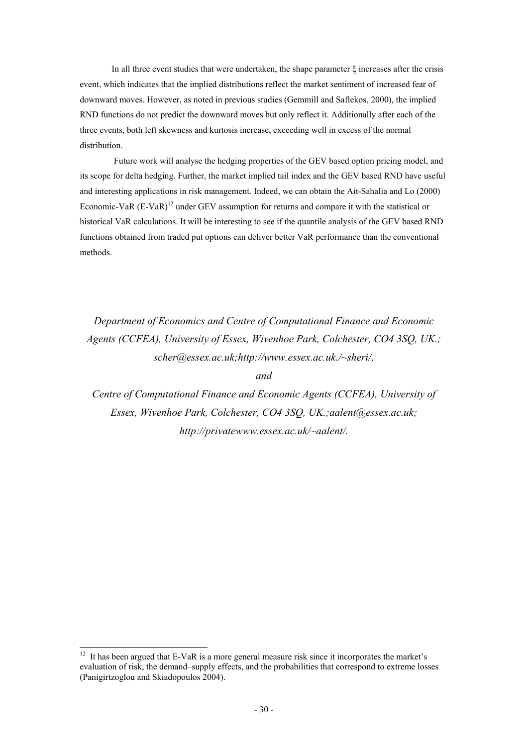In all three event studies that were undertaken, the shape parameter  $\xi$  increases after the crisis event, which indicates that the implied distributions reflect the market sentiment of increased fear of downward moves. However, as noted in previous studies (Gemmill and Saflekos, 2000), the implied RND functions do not predict the downward moves but only reflect it. Additionally after each of the three events, both left skewness and kurtosis increase, exceeding well in excess of the normal distribution.

 Future work will analyse the hedging properties of the GEV based option pricing model, and its scope for delta hedging. Further, the market implied tail index and the GEV based RND have useful and interesting applications in risk management. Indeed, we can obtain the Ait-Sahalia and Lo (2000) Economic-VaR  $(E-VaR)^{12}$  under GEV assumption for returns and compare it with the statistical or historical VaR calculations. It will be interesting to see if the quantile analysis of the GEV based RND functions obtained from traded put options can deliver better VaR performance than the conventional methods.

*Department of Economics and Centre of Computational Finance and Economic Agents (CCFEA), University of Essex, Wivenhoe Park, Colchester, CO4 3SQ, UK.; scher@essex.ac.uk;http://www.essex.ac.uk./~sheri/,* 

*and* 

*Centre of Computational Finance and Economic Agents (CCFEA), University of Essex, Wivenhoe Park, Colchester, CO4 3SQ, UK.;aalent@essex.ac.uk; http://privatewww.essex.ac.uk/~aalent/.* 

-

 $12$  It has been argued that E-VaR is a more general measure risk since it incorporates the market's evaluation of risk, the demand–supply effects, and the probabilities that correspond to extreme losses (Panigirtzoglou and Skiadopoulos 2004).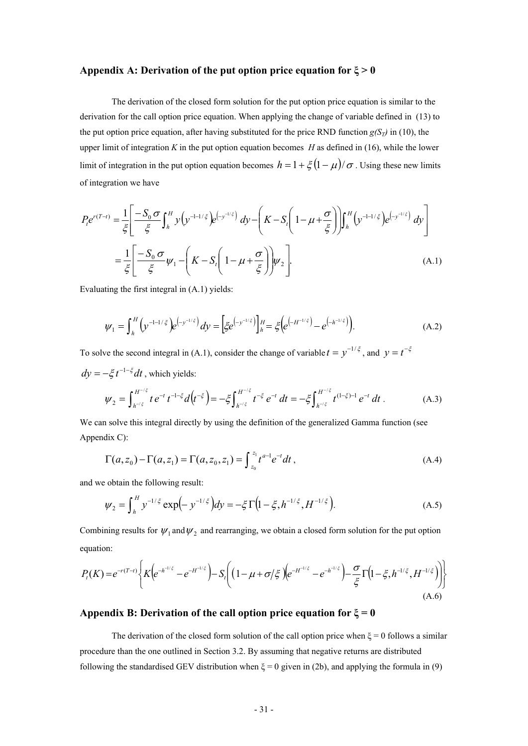# **Appendix A: Derivation of the put option price equation for ξ > 0**

The derivation of the closed form solution for the put option price equation is similar to the derivation for the call option price equation. When applying the change of variable defined in (13) to the put option price equation, after having substituted for the price RND function  $g(S_T)$  in (10), the upper limit of integration  $K$  in the put option equation becomes  $H$  as defined in (16), while the lower limit of integration in the put option equation becomes  $h = 1 + \xi (1 - \mu)/\sigma$ . Using these new limits of integration we have

$$
P_{t}e^{r(T-t)} = \frac{1}{\xi} \left[ \frac{-S_{0} \sigma}{\xi} \int_{h}^{H} y \left( y^{-1-1/\xi} \right) e^{(-y^{-1/\xi})} dy - \left( K - S_{t} \left( 1 - \mu + \frac{\sigma}{\xi} \right) \right) \int_{h}^{H} \left( y^{-1-1/\xi} \right) e^{(-y^{-1/\xi})} dy \right]
$$

$$
= \frac{1}{\xi} \left[ \frac{-S_{0} \sigma}{\xi} \psi_{1} - \left( K - S_{t} \left( 1 - \mu + \frac{\sigma}{\xi} \right) \right) \psi_{2} \right].
$$
(A.1)

Evaluating the first integral in (A.1) yields:

$$
\psi_1 = \int_h^H \left( y^{-1-1/\xi} \right) e^{-y^{-1/\xi}} dy = \left[ \xi e^{-y^{-1/\xi}} \right]_h^H = \xi \left( e^{-y^{-1/\xi}} - e^{-y^{-1/\xi}} \right). \tag{A.2}
$$

To solve the second integral in (A.1), consider the change of variable  $t = y^{-1/\xi}$ , and  $y = t^{-\xi}$  $dy = -\xi t^{-1-\xi} dt$ , which yields:

$$
\psi_2 = \int_{h^{-\ell\xi}}^{H^{-\ell\xi}} t \, e^{-t} \, t^{-1-\xi} d\big(t^{-\xi}\big) = -\xi \int_{h^{-\ell\xi}}^{H^{-\ell\xi}} t^{-\xi} \, e^{-t} \, dt = -\xi \int_{h^{-\ell\xi}}^{H^{-\ell\xi}} t^{(1-\xi)-1} \, e^{-t} \, dt \,. \tag{A.3}
$$

We can solve this integral directly by using the definition of the generalized Gamma function (see Appendix C):

$$
\Gamma(a, z_0) - \Gamma(a, z_1) = \Gamma(a, z_0, z_1) = \int_{z_0}^{z_1} t^{a-1} e^{-t} dt,
$$
\n(A.4)

and we obtain the following result:

$$
\psi_2 = \int_h^H y^{-1/\xi} \exp\left(-y^{-1/\xi}\right) dy = -\xi \Gamma\left(1 - \xi, h^{-1/\xi}, H^{-1/\xi}\right). \tag{A.5}
$$

Combining results for  $\psi_1$  and  $\psi_2$  and rearranging, we obtain a closed form solution for the put option equation:

$$
P_{t}(K) = e^{-r(T-t)} \left\{ K \left( e^{-h^{-1/\xi}} - e^{-H^{-1/\xi}} \right) - S_{t} \left( \left( 1 - \mu + \sigma/\xi \right) \left( e^{-H^{-1/\xi}} - e^{-h^{-1/\xi}} \right) - \frac{\sigma}{\xi} \Gamma \left( 1 - \xi, h^{-1/\xi}, H^{-1/\xi} \right) \right) \right\}
$$
(A.6)

# **Appendix B: Derivation of the call option price equation for ξ = 0**

The derivation of the closed form solution of the call option price when  $\xi = 0$  follows a similar procedure than the one outlined in Section 3.2. By assuming that negative returns are distributed following the standardised GEV distribution when  $\xi = 0$  given in (2b), and applying the formula in (9)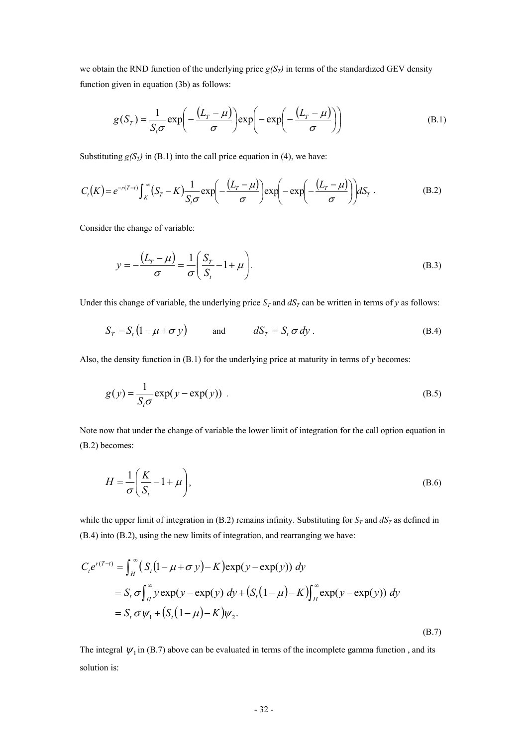we obtain the RND function of the underlying price  $g(S_T)$  in terms of the standardized GEV density function given in equation (3b) as follows:

$$
g(S_T) = \frac{1}{S_t \sigma} \exp\left(-\frac{(L_T - \mu)}{\sigma}\right) \exp\left(-\exp\left(-\frac{(L_T - \mu)}{\sigma}\right)\right) \tag{B.1}
$$

Substituting  $g(S_T)$  in (B.1) into the call price equation in (4), we have:

$$
C_t(K) = e^{-r(T-t)} \int_K^{\infty} (S_T - K) \frac{1}{S_t \sigma} \exp\left(-\frac{(L_T - \mu)}{\sigma}\right) \exp\left(-\exp\left(-\frac{(L_T - \mu)}{\sigma}\right)\right) dS_T. \tag{B.2}
$$

Consider the change of variable:

$$
y = -\frac{(L_r - \mu)}{\sigma} = \frac{1}{\sigma} \left( \frac{S_r}{S_t} - 1 + \mu \right).
$$
 (B.3)

Under this change of variable, the underlying price  $S_T$  and  $dS_T$  can be written in terms of *y* as follows:

$$
S_T = S_t (1 - \mu + \sigma y) \qquad \text{and} \qquad dS_T = S_t \sigma dy \,. \tag{B.4}
$$

Also, the density function in (B.1) for the underlying price at maturity in terms of *y* becomes:

$$
g(y) = \frac{1}{S_t \sigma} \exp(y - \exp(y)).
$$
 (B.5)

Note now that under the change of variable the lower limit of integration for the call option equation in (B.2) becomes:

$$
H = \frac{1}{\sigma} \left( \frac{K}{S_t} - 1 + \mu \right),\tag{B.6}
$$

while the upper limit of integration in (B.2) remains infinity. Substituting for  $S_T$  and  $dS_T$  as defined in (B.4) into (B.2), using the new limits of integration, and rearranging we have:

$$
C_{t}e^{r(T-t)} = \int_{H}^{\infty} (S_{t}(1 - \mu + \sigma y) - K) \exp(y - \exp(y)) dy
$$
  
=  $S_{t} \sigma \int_{H}^{\infty} y \exp(y - \exp(y)) dy + (S_{t}(1 - \mu) - K) \int_{H}^{\infty} \exp(y - \exp(y)) dy$   
=  $S_{t} \sigma \psi_{1} + (S_{t}(1 - \mu) - K) \psi_{2}.$  (B.7)

The integral  $\psi_1$  in (B.7) above can be evaluated in terms of the incomplete gamma function, and its solution is: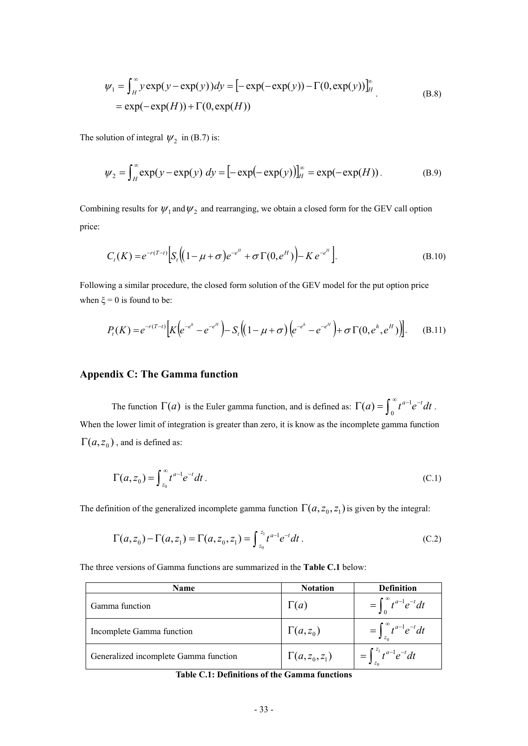$$
\psi_1 = \int_H^{\infty} y \exp(y - \exp(y)) dy = \left[ -\exp(-\exp(y)) - \Gamma(0, \exp(y)) \right]_H^{\infty}
$$
  
=  $\exp(-\exp(H)) + \Gamma(0, \exp(H))$  (B.8)

The solution of integral  $\psi_2$  in (B.7) is:

$$
\psi_2 = \int_H^{\infty} \exp(y - \exp(y)) \, dy = [-\exp(-\exp(y))]_H^{\infty} = \exp(-\exp(H)). \tag{B.9}
$$

Combining results for  $\psi_1$  and  $\psi_2$  and rearranging, we obtain a closed form for the GEV call option price:

$$
C_{t}(K) = e^{-r(T-t)} \Big[ S_{t} \Big( (1 - \mu + \sigma) e^{-e^{H}} + \sigma \Gamma(0, e^{H}) \Big) - K e^{-e^{H}} \Big]. \tag{B.10}
$$

Following a similar procedure, the closed form solution of the GEV model for the put option price when  $\xi = 0$  is found to be:

$$
P_t(K) = e^{-r(T-t)} \Big[ K \Big( e^{-e^h} - e^{-e^H} \Big) - S_t \Big( (1 - \mu + \sigma) \Big( e^{-e^h} - e^{-e^H} \Big) + \sigma \Gamma(0, e^h, e^H) \Big) \Big]. \tag{B.11}
$$

# **Appendix C: The Gamma function**

The function  $\Gamma(a)$  is the Euler gamma function, and is defined as:  $\Gamma(a) = \int_0^\infty t^{a-1} e^{-t} dt$ . When the lower limit of integration is greater than zero, it is know as the incomplete gamma function  $\Gamma(a, z_0)$ , and is defined as:

$$
\Gamma(a, z_0) = \int_{z_0}^{\infty} t^{a-1} e^{-t} dt.
$$
\n(C.1)

The definition of the generalized incomplete gamma function  $\Gamma(a, z_0, z_1)$  is given by the integral:

$$
\Gamma(a, z_0) - \Gamma(a, z_1) = \Gamma(a, z_0, z_1) = \int_{z_0}^{z_1} t^{a-1} e^{-t} dt.
$$
 (C.2)

The three versions of Gamma functions are summarized in the **Table C.1** below:

| <b>Name</b>                           | <b>Notation</b>     | <b>Definition</b>                     |
|---------------------------------------|---------------------|---------------------------------------|
| Gamma function                        | $\Gamma(a)$         | $=\int_{0}^{\infty} t^{a-1}e^{-t}dt$  |
| Incomplete Gamma function             | $\Gamma(a,z_0)$     | $=\int_{-a}^{\infty} t^{a-1}e^{-t}dt$ |
| Generalized incomplete Gamma function | $\Gamma(a,z_0,z_1)$ | $=\int_{-1}^{z_1} t^{a-1}e^{-t}dt$    |

**Table C.1: Definitions of the Gamma functions**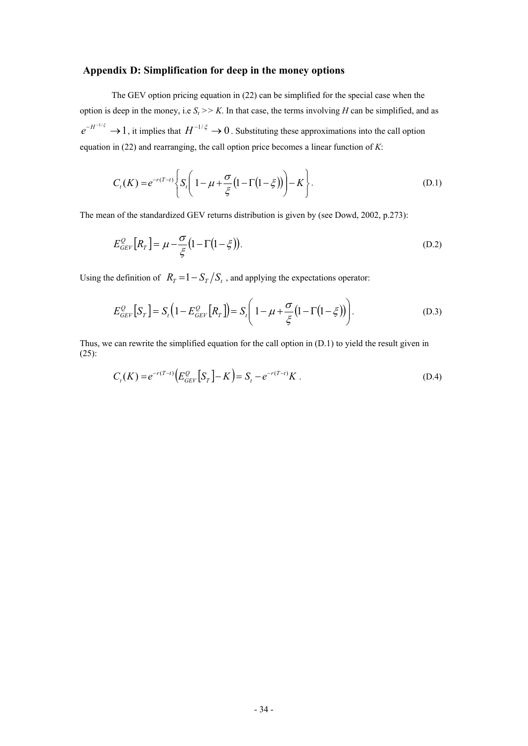# **Appendix D: Simplification for deep in the money options**

The GEV option pricing equation in (22) can be simplified for the special case when the option is deep in the money, i.e  $S_t$  >> K. In that case, the terms involving *H* can be simplified, and as  $e^{-H^{-1/\xi}} \to 1$ , it implies that  $H^{-1/\xi} \to 0$ . Substituting these approximations into the call option equation in (22) and rearranging, the call option price becomes a linear function of *K*:

$$
C_t(K) = e^{-r(T-t)} \left\{ S_t \left( 1 - \mu + \frac{\sigma}{\xi} (1 - \Gamma(1 - \xi)) \right) - K \right\}.
$$
 (D.1)

The mean of the standardized GEV returns distribution is given by (see Dowd, 2002, p.273):

$$
E_{GEV}^{\mathcal{Q}}\left[R_T\right] = \mu - \frac{\sigma}{\xi} \left(1 - \Gamma\left(1 - \xi\right)\right). \tag{D.2}
$$

Using the definition of  $R_T = 1 - S_T / S_t$ , and applying the expectations operator:

$$
E_{GEV}^{\mathcal{Q}}\left[S_T\right] = S_t\left(1 - E_{GEV}^{\mathcal{Q}}\left[R_T\right]\right) = S_t\left(1 - \mu + \frac{\sigma}{\xi}\left(1 - \Gamma\left(1 - \xi\right)\right)\right). \tag{D.3}
$$

Thus, we can rewrite the simplified equation for the call option in (D.1) to yield the result given in (25):

$$
C_t(K) = e^{-r(T-t)} \Big( E_{GEV}^Q \Big[ S_T \Big] - K \Big) = S_t - e^{-r(T-t)} K \ . \tag{D.4}
$$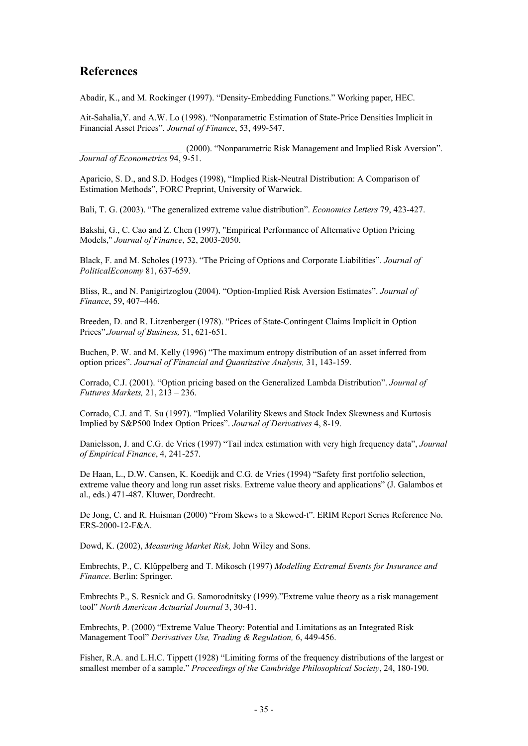# **References**

Abadir, K., and M. Rockinger (1997). "Density-Embedding Functions." Working paper, HEC.

Ait-Sahalia,Y. and A.W. Lo (1998). "Nonparametric Estimation of State-Price Densities Implicit in Financial Asset Prices". *Journal of Finance*, 53, 499-547.

\_\_\_\_\_\_\_\_\_\_\_\_\_\_\_\_\_\_\_\_\_\_\_ (2000). "Nonparametric Risk Management and Implied Risk Aversion". *Journal of Econometrics* 94, 9-51.

Aparicio, S. D., and S.D. Hodges (1998), "Implied Risk-Neutral Distribution: A Comparison of Estimation Methods", FORC Preprint, University of Warwick.

Bali, T. G. (2003). "The generalized extreme value distribution". *Economics Letters* 79, 423-427.

Bakshi, G., C. Cao and Z. Chen (1997), "Empirical Performance of Alternative Option Pricing Models," *Journal of Finance*, 52, 2003-2050.

Black, F. and M. Scholes (1973). "The Pricing of Options and Corporate Liabilities". *Journal of PoliticalEconomy* 81, 637-659.

Bliss, R., and N. Panigirtzoglou (2004). "Option-Implied Risk Aversion Estimates". *Journal of Finance*, 59, 407–446.

Breeden, D. and R. Litzenberger (1978). "Prices of State-Contingent Claims Implicit in Option Prices".*Journal of Business,* 51, 621-651.

Buchen, P. W. and M. Kelly (1996) "The maximum entropy distribution of an asset inferred from option prices". *Journal of Financial and Quantitative Analysis,* 31, 143-159.

Corrado, C.J. (2001). "Option pricing based on the Generalized Lambda Distribution". *Journal of Futtures Markets,* 21, 213 – 236.

Corrado, C.J. and T. Su (1997). "Implied Volatility Skews and Stock Index Skewness and Kurtosis Implied by S&P500 Index Option Prices". *Journal of Derivatives* 4, 8-19.

Danielsson, J. and C.G. de Vries (1997) "Tail index estimation with very high frequency data", *Journal of Empirical Finance*, 4, 241-257.

De Haan, L., D.W. Cansen, K. Koedijk and C.G. de Vries (1994) "Safety first portfolio selection, extreme value theory and long run asset risks. Extreme value theory and applications" (J. Galambos et al., eds.) 471-487. Kluwer, Dordrecht.

De Jong, C. and R. Huisman (2000) "From Skews to a Skewed-t". ERIM Report Series Reference No. ERS-2000-12-F&A.

Dowd, K. (2002), *Measuring Market Risk,* John Wiley and Sons.

Embrechts, P., C. Klüppelberg and T. Mikosch (1997) *Modelling Extremal Events for Insurance and Finance*. Berlin: Springer.

Embrechts P., S. Resnick and G. Samorodnitsky (1999)."Extreme value theory as a risk management tool" *North American Actuarial Journal* 3, 30-41.

Embrechts, P. (2000) "Extreme Value Theory: Potential and Limitations as an Integrated Risk Management Tool" *Derivatives Use, Trading & Regulation,* 6, 449-456.

Fisher, R.A. and L.H.C. Tippett (1928) "Limiting forms of the frequency distributions of the largest or smallest member of a sample." *Proceedings of the Cambridge Philosophical Society*, 24, 180-190.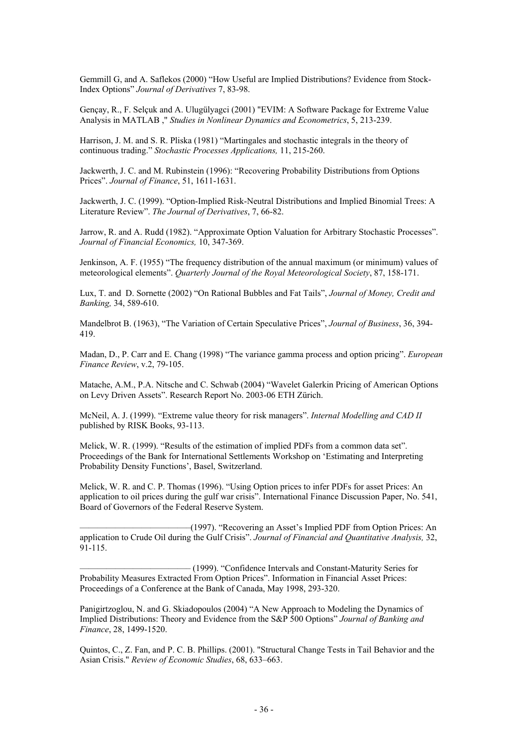Gemmill G, and A. Saflekos (2000) "How Useful are Implied Distributions? Evidence from Stock-Index Options" *Journal of Derivatives* 7, 83-98.

Gençay, R., F. Selçuk and A. Ulugülyagci (2001) "EVIM: A Software Package for Extreme Value Analysis in MATLAB ," *Studies in Nonlinear Dynamics and Econometrics*, 5, 213-239.

Harrison, J. M. and S. R. Pliska (1981) "Martingales and stochastic integrals in the theory of continuous trading." *Stochastic Processes Applications,* 11, 215-260.

Jackwerth, J. C. and M. Rubinstein (1996): "Recovering Probability Distributions from Options Prices". *Journal of Finance*, 51, 1611-1631.

Jackwerth, J. C. (1999). "Option-Implied Risk-Neutral Distributions and Implied Binomial Trees: A Literature Review". *The Journal of Derivatives*, 7, 66-82.

Jarrow, R. and A. Rudd (1982). "Approximate Option Valuation for Arbitrary Stochastic Processes". *Journal of Financial Economics,* 10, 347-369.

Jenkinson, A. F. (1955) "The frequency distribution of the annual maximum (or minimum) values of meteorological elements". *Quarterly Journal of the Royal Meteorological Society*, 87, 158-171.

Lux, T. and D. Sornette (2002) "On Rational Bubbles and Fat Tails", *Journal of Money, Credit and Banking,* 34, 589-610.

Mandelbrot B. (1963), "The Variation of Certain Speculative Prices", *Journal of Business*, 36, 394- 419.

Madan, D., P. Carr and E. Chang (1998) "The variance gamma process and option pricing". *European Finance Review*, v.2, 79-105.

Matache, A.M., P.A. Nitsche and C. Schwab (2004) "Wavelet Galerkin Pricing of American Options on Levy Driven Assets". Research Report No. 2003-06 ETH Zürich.

McNeil, A. J. (1999). "Extreme value theory for risk managers". *Internal Modelling and CAD II* published by RISK Books, 93-113.

Melick, W. R. (1999). "Results of the estimation of implied PDFs from a common data set". Proceedings of the Bank for International Settlements Workshop on 'Estimating and Interpreting Probability Density Functions', Basel, Switzerland.

Melick, W. R. and C. P. Thomas (1996). "Using Option prices to infer PDFs for asset Prices: An application to oil prices during the gulf war crisis". International Finance Discussion Paper, No. 541, Board of Governors of the Federal Reserve System.

————————————–(1997). "Recovering an Asset's Implied PDF from Option Prices: An application to Crude Oil during the Gulf Crisis". *Journal of Financial and Quantitative Analysis,* 32, 91-115.

————————————– (1999). "Confidence Intervals and Constant-Maturity Series for Probability Measures Extracted From Option Prices". Information in Financial Asset Prices: Proceedings of a Conference at the Bank of Canada, May 1998, 293-320.

Panigirtzoglou, N. and G. Skiadopoulos (2004) "A New Approach to Modeling the Dynamics of Implied Distributions: Theory and Evidence from the S&P 500 Options" *Journal of Banking and Finance*, 28, 1499-1520.

Quintos, C., Z. Fan, and P. C. B. Phillips. (2001). "Structural Change Tests in Tail Behavior and the Asian Crisis." *Review of Economic Studies*, 68, 633–663.